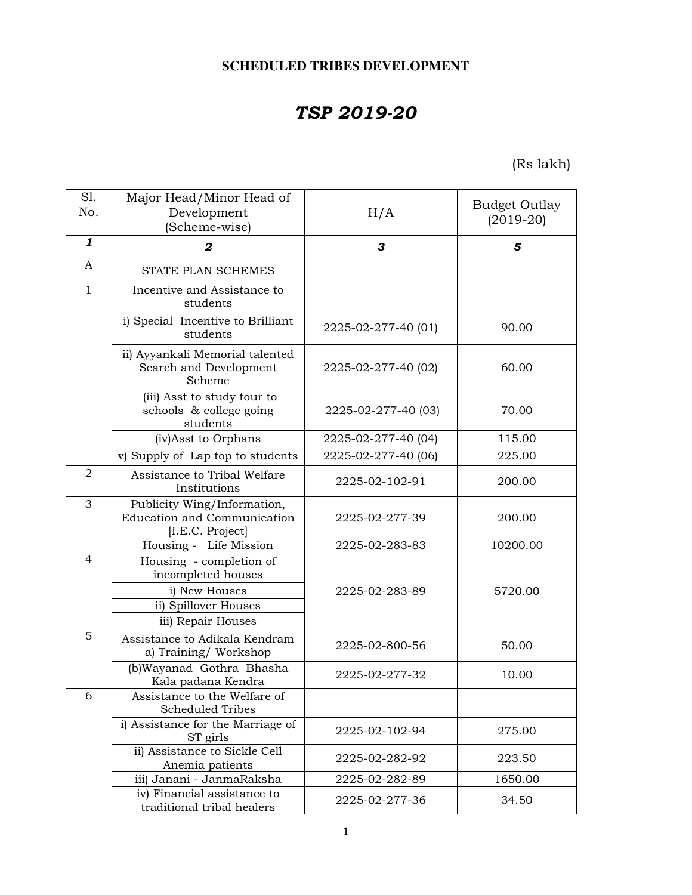# **SCHEDULED TRIBES DEVELOPMENT**

# *TSP 2019-20*

(Rs lakh)

| S1.<br>No.     | Major Head/Minor Head of<br>Development<br>(Scheme-wise)                                                     | H/A                 | <b>Budget Outlay</b><br>$(2019-20)$ |
|----------------|--------------------------------------------------------------------------------------------------------------|---------------------|-------------------------------------|
| 1              | $\overline{2}$                                                                                               | 3                   | 5                                   |
| $\mathbf{A}$   | STATE PLAN SCHEMES                                                                                           |                     |                                     |
| $\overline{1}$ | Incentive and Assistance to<br>students                                                                      |                     |                                     |
|                | i) Special Incentive to Brilliant<br>students                                                                | 2225-02-277-40 (01) | 90.00                               |
|                | ii) Ayyankali Memorial talented<br>Search and Development<br>Scheme                                          | 2225-02-277-40 (02) | 60.00                               |
|                | (iii) Asst to study tour to<br>schools & college going<br>students                                           | 2225-02-277-40 (03) | 70.00                               |
|                | (iv)Asst to Orphans                                                                                          | 2225-02-277-40 (04) | 115.00                              |
|                | v) Supply of Lap top to students                                                                             | 2225-02-277-40 (06) | 225.00                              |
| $\overline{2}$ | Assistance to Tribal Welfare<br>Institutions                                                                 | 2225-02-102-91      | 200.00                              |
| 3              | Publicity Wing/Information,<br>Education and Communication<br>[I.E.C. Project]                               | 2225-02-277-39      | 200.00                              |
|                | Housing - Life Mission                                                                                       | 2225-02-283-83      | 10200.00                            |
| $\overline{4}$ | Housing - completion of<br>incompleted houses<br>i) New Houses<br>ii) Spillover Houses<br>iii) Repair Houses | 2225-02-283-89      | 5720.00                             |
| 5              | Assistance to Adikala Kendram<br>a) Training/ Workshop                                                       | 2225-02-800-56      | 50.00                               |
|                | (b)Wayanad Gothra Bhasha<br>Kala padana Kendra                                                               | 2225-02-277-32      | 10.00                               |
| 6              | Assistance to the Welfare of<br><b>Scheduled Tribes</b>                                                      |                     |                                     |
|                | i) Assistance for the Marriage of<br>ST girls                                                                | 2225-02-102-94      | 275.00                              |
|                | ii) Assistance to Sickle Cell<br>Anemia patients                                                             | 2225-02-282-92      | 223.50                              |
|                | iii) Janani - JanmaRaksha                                                                                    | 2225-02-282-89      | 1650.00                             |
|                | iv) Financial assistance to<br>traditional tribal healers                                                    | 2225-02-277-36      | 34.50                               |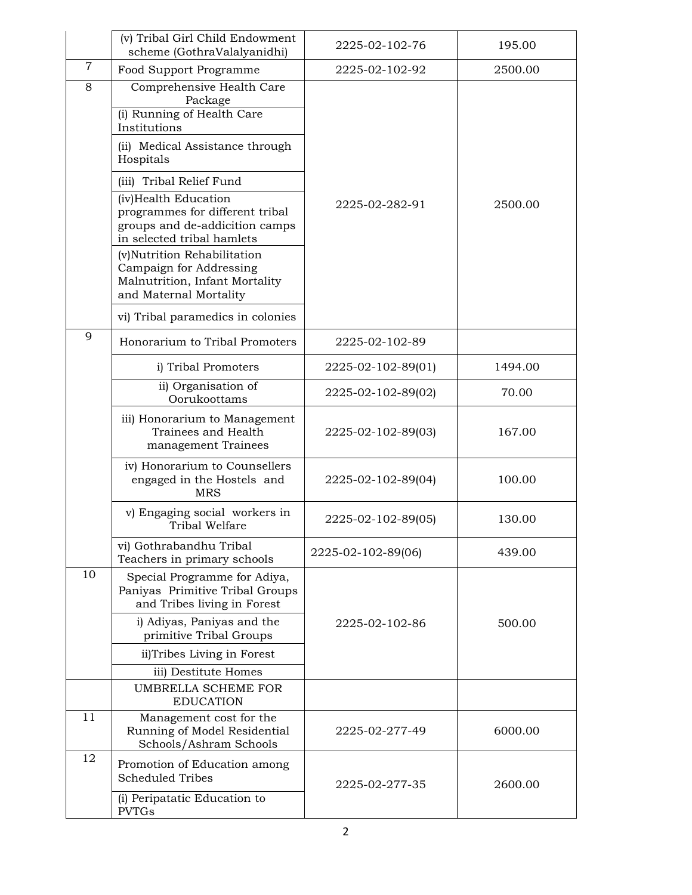|                | (v) Tribal Girl Child Endowment<br>scheme (GothraValalyanidhi)                                                          | 2225-02-102-76     | 195.00  |
|----------------|-------------------------------------------------------------------------------------------------------------------------|--------------------|---------|
| $\overline{7}$ | Food Support Programme                                                                                                  | 2225-02-102-92     | 2500.00 |
| 8              | Comprehensive Health Care<br>Package<br>(i) Running of Health Care<br>Institutions                                      |                    |         |
|                | (ii) Medical Assistance through<br>Hospitals                                                                            |                    |         |
|                | (iii) Tribal Relief Fund                                                                                                |                    |         |
|                | (iv)Health Education<br>programmes for different tribal<br>groups and de-addicition camps<br>in selected tribal hamlets | 2225-02-282-91     | 2500.00 |
|                | (v)Nutrition Rehabilitation<br>Campaign for Addressing<br>Malnutrition, Infant Mortality<br>and Maternal Mortality      |                    |         |
|                | vi) Tribal paramedics in colonies                                                                                       |                    |         |
| 9              | Honorarium to Tribal Promoters                                                                                          | 2225-02-102-89     |         |
|                | i) Tribal Promoters                                                                                                     | 2225-02-102-89(01) | 1494.00 |
|                | ii) Organisation of<br>Oorukoottams                                                                                     | 2225-02-102-89(02) | 70.00   |
|                | iii) Honorarium to Management<br>Trainees and Health<br>management Trainees                                             | 2225-02-102-89(03) | 167.00  |
|                | iv) Honorarium to Counsellers<br>engaged in the Hostels and<br><b>MRS</b>                                               | 2225-02-102-89(04) | 100.00  |
|                | v) Engaging social workers in<br>Tribal Welfare                                                                         | 2225-02-102-89(05) | 130.00  |
|                | vi) Gothrabandhu Tribal<br>Teachers in primary schools                                                                  | 2225-02-102-89(06) | 439.00  |
| 10             | Special Programme for Adiya,<br>Paniyas Primitive Tribal Groups<br>and Tribes living in Forest                          |                    |         |
|                | i) Adiyas, Paniyas and the<br>primitive Tribal Groups                                                                   | 2225-02-102-86     | 500.00  |
|                | ii)Tribes Living in Forest                                                                                              |                    |         |
|                | iii) Destitute Homes                                                                                                    |                    |         |
|                | UMBRELLA SCHEME FOR<br><b>EDUCATION</b>                                                                                 |                    |         |
| 11             | Management cost for the<br>Running of Model Residential<br>Schools/Ashram Schools                                       | 2225-02-277-49     | 6000.00 |
| 12             | Promotion of Education among<br><b>Scheduled Tribes</b>                                                                 | 2225-02-277-35     | 2600.00 |
|                | (i) Peripatatic Education to<br><b>PVTGs</b>                                                                            |                    |         |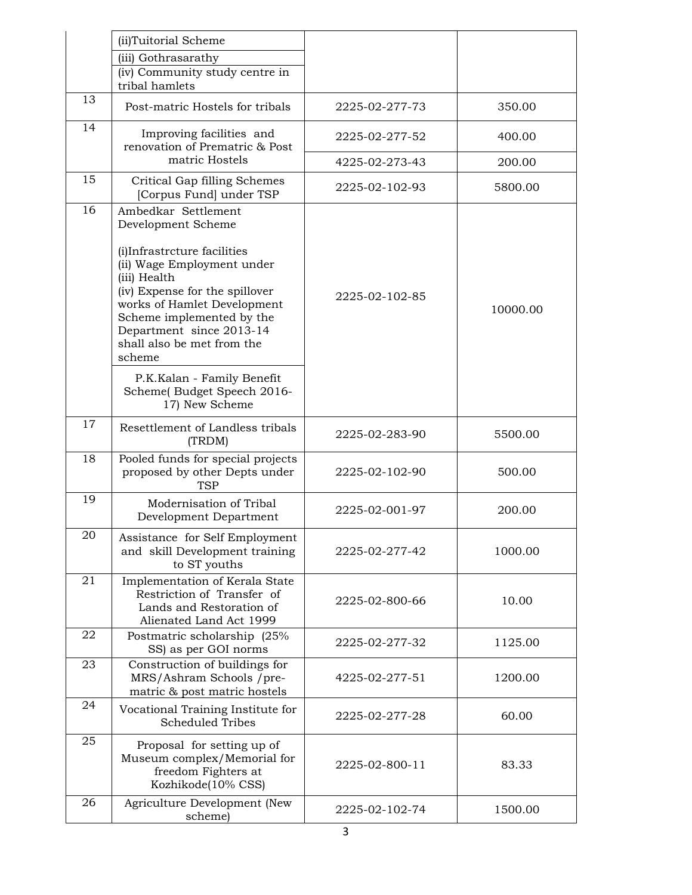|        | (ii)Tuitorial Scheme                                                                                                                                                           |                |          |
|--------|--------------------------------------------------------------------------------------------------------------------------------------------------------------------------------|----------------|----------|
|        | (iii) Gothrasarathy                                                                                                                                                            |                |          |
|        | (iv) Community study centre in<br>tribal hamlets                                                                                                                               |                |          |
| 13     | Post-matric Hostels for tribals                                                                                                                                                | 2225-02-277-73 | 350.00   |
| 14     | Improving facilities and<br>renovation of Prematric & Post                                                                                                                     | 2225-02-277-52 | 400.00   |
|        | matric Hostels                                                                                                                                                                 | 4225-02-273-43 | 200.00   |
| 15     | Critical Gap filling Schemes<br>[Corpus Fund] under TSP                                                                                                                        | 2225-02-102-93 | 5800.00  |
| 16     | Ambedkar Settlement<br>Development Scheme<br>(i)Infrastrcture facilities<br>(ii) Wage Employment under                                                                         |                |          |
|        | (iii) Health<br>(iv) Expense for the spillover<br>works of Hamlet Development<br>Scheme implemented by the<br>Department since 2013-14<br>shall also be met from the<br>scheme | 2225-02-102-85 | 10000.00 |
|        | P.K.Kalan - Family Benefit<br>Scheme(Budget Speech 2016-<br>17) New Scheme                                                                                                     |                |          |
| 17     | Resettlement of Landless tribals<br>(TRDM)                                                                                                                                     | 2225-02-283-90 | 5500.00  |
| 18     | Pooled funds for special projects<br>proposed by other Depts under<br><b>TSP</b>                                                                                               | 2225-02-102-90 | 500.00   |
| 19     | Modernisation of Tribal<br>Development Department                                                                                                                              | 2225-02-001-97 | 200.00   |
| $20\,$ | Assistance for Self Employment<br>and skill Development training<br>to ST youths                                                                                               | 2225-02-277-42 | 1000.00  |
| 21     | Implementation of Kerala State<br>Restriction of Transfer of<br>Lands and Restoration of<br>Alienated Land Act 1999                                                            | 2225-02-800-66 | 10.00    |
| 22     | Postmatric scholarship (25%<br>SS) as per GOI norms                                                                                                                            | 2225-02-277-32 | 1125.00  |
| 23     | Construction of buildings for<br>MRS/Ashram Schools /pre-<br>matric & post matric hostels                                                                                      | 4225-02-277-51 | 1200.00  |
| 24     | Vocational Training Institute for<br><b>Scheduled Tribes</b>                                                                                                                   | 2225-02-277-28 | 60.00    |
| 25     | Proposal for setting up of<br>Museum complex/Memorial for<br>freedom Fighters at<br>Kozhikode(10% CSS)                                                                         | 2225-02-800-11 | 83.33    |
| 26     | Agriculture Development (New<br>scheme)                                                                                                                                        | 2225-02-102-74 | 1500.00  |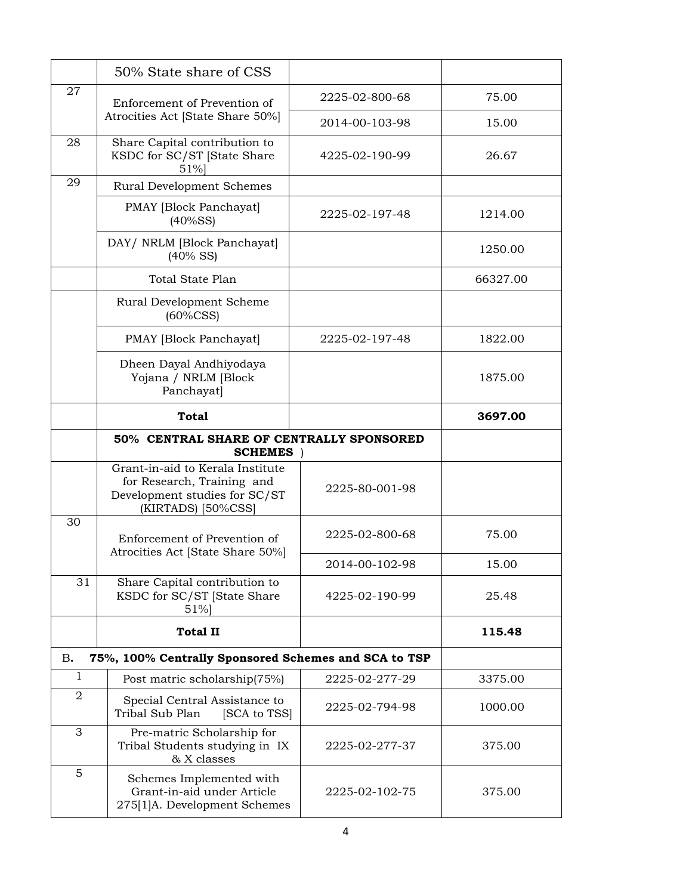|                | 50% State share of CSS                                                      |                |          |
|----------------|-----------------------------------------------------------------------------|----------------|----------|
| 27             | Enforcement of Prevention of                                                | 2225-02-800-68 | 75.00    |
|                | Atrocities Act [State Share 50%]                                            | 2014-00-103-98 | 15.00    |
| 28             | Share Capital contribution to<br>KSDC for SC/ST [State Share<br>51%         | 4225-02-190-99 | 26.67    |
| 29             | <b>Rural Development Schemes</b>                                            |                |          |
|                | PMAY [Block Panchayat]<br>$(40\%SS)$                                        | 2225-02-197-48 | 1214.00  |
|                | DAY/ NRLM [Block Panchayat]<br>$(40\%$ SS)                                  |                | 1250.00  |
|                | Total State Plan                                                            |                | 66327.00 |
|                | Rural Development Scheme<br>$(60\%$ CSS)                                    |                |          |
|                | PMAY [Block Panchayat]                                                      | 2225-02-197-48 | 1822.00  |
|                | Dheen Dayal Andhiyodaya<br>Yojana / NRLM [Block<br>Panchayat]               |                | 1875.00  |
|                | <b>Total</b>                                                                |                | 3697.00  |
|                | 50% CENTRAL SHARE OF CENTRALLY SPONSORED<br><b>SCHEMES</b>                  |                |          |
|                | Grant-in-aid to Kerala Institute<br>for Research, Training and              | 2225-80-001-98 |          |
|                | Development studies for SC/ST<br>(KIRTADS) [50%CSS]                         |                |          |
| 30             | Enforcement of Prevention of                                                | 2225-02-800-68 | 75.00    |
|                | Atrocities Act [State Share 50%]                                            | 2014-00-102-98 | 15.00    |
| 31             | Share Capital contribution to<br>KSDC for SC/ST [State Share<br>51%         | 4225-02-190-99 | 25.48    |
|                | <b>Total II</b>                                                             |                | 115.48   |
| В.             | 75%, 100% Centrally Sponsored Schemes and SCA to TSP                        |                |          |
| $\mathbf{1}$   | Post matric scholarship(75%)                                                | 2225-02-277-29 | 3375.00  |
| $\overline{2}$ | Special Central Assistance to<br>Tribal Sub Plan<br>[SCA to TSS]            | 2225-02-794-98 | 1000.00  |
| 3<br>5         | Pre-matric Scholarship for<br>Tribal Students studying in IX<br>& X classes | 2225-02-277-37 | 375.00   |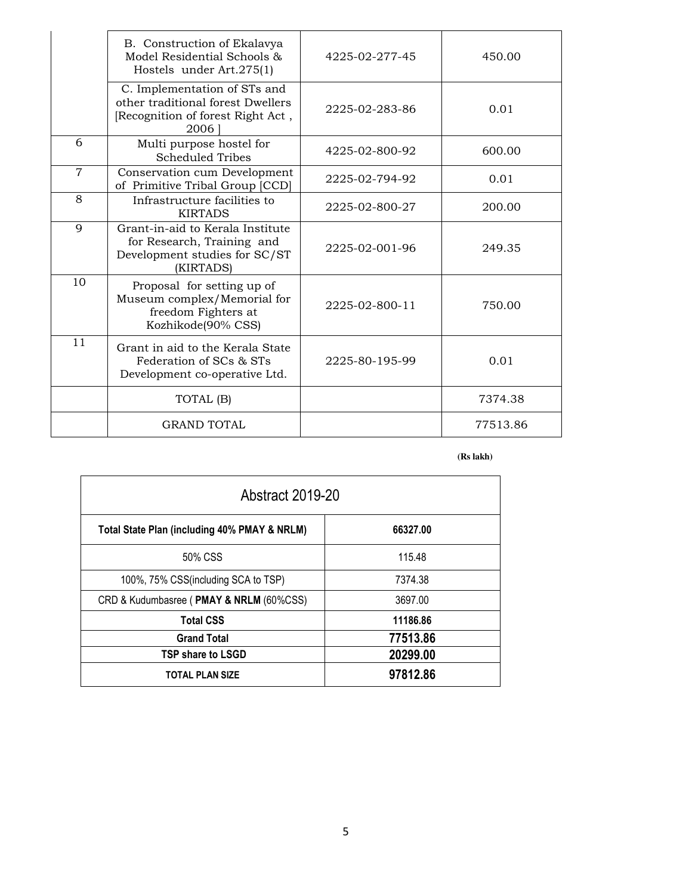|                | B. Construction of Ekalavya<br>Model Residential Schools &<br>Hostels under Art.275(1)                         | 4225-02-277-45 | 450.00   |
|----------------|----------------------------------------------------------------------------------------------------------------|----------------|----------|
|                | C. Implementation of STs and<br>other traditional forest Dwellers<br>[Recognition of forest Right Act,<br>2006 | 2225-02-283-86 | 0.01     |
| 6              | Multi purpose hostel for<br><b>Scheduled Tribes</b>                                                            | 4225-02-800-92 | 600.00   |
| $\overline{7}$ | Conservation cum Development<br>of Primitive Tribal Group [CCD]                                                | 2225-02-794-92 | 0.01     |
| 8              | Infrastructure facilities to<br><b>KIRTADS</b>                                                                 | 2225-02-800-27 | 200.00   |
| 9              | Grant-in-aid to Kerala Institute<br>for Research, Training and<br>Development studies for SC/ST<br>(KIRTADS)   | 2225-02-001-96 | 249.35   |
| 10             | Proposal for setting up of<br>Museum complex/Memorial for<br>freedom Fighters at<br>Kozhikode(90% CSS)         | 2225-02-800-11 | 750.00   |
| 11             | Grant in aid to the Kerala State<br>Federation of SCs & STs<br>Development co-operative Ltd.                   | 2225-80-195-99 | 0.01     |
|                | TOTAL (B)                                                                                                      |                | 7374.38  |
|                | <b>GRAND TOTAL</b>                                                                                             |                | 77513.86 |

 **(Rs lakh)**

| <b>Abstract 2019-20</b>                      |          |  |
|----------------------------------------------|----------|--|
| Total State Plan (including 40% PMAY & NRLM) | 66327.00 |  |
| 50% CSS                                      | 115.48   |  |
| 100%, 75% CSS(including SCA to TSP)          | 7374.38  |  |
| CRD & Kudumbasree (PMAY & NRLM (60%CSS)      | 3697.00  |  |
| <b>Total CSS</b>                             | 11186.86 |  |
| <b>Grand Total</b>                           | 77513.86 |  |
| TSP share to LSGD                            | 20299.00 |  |
| <b>TOTAL PLAN SIZE</b>                       | 97812.86 |  |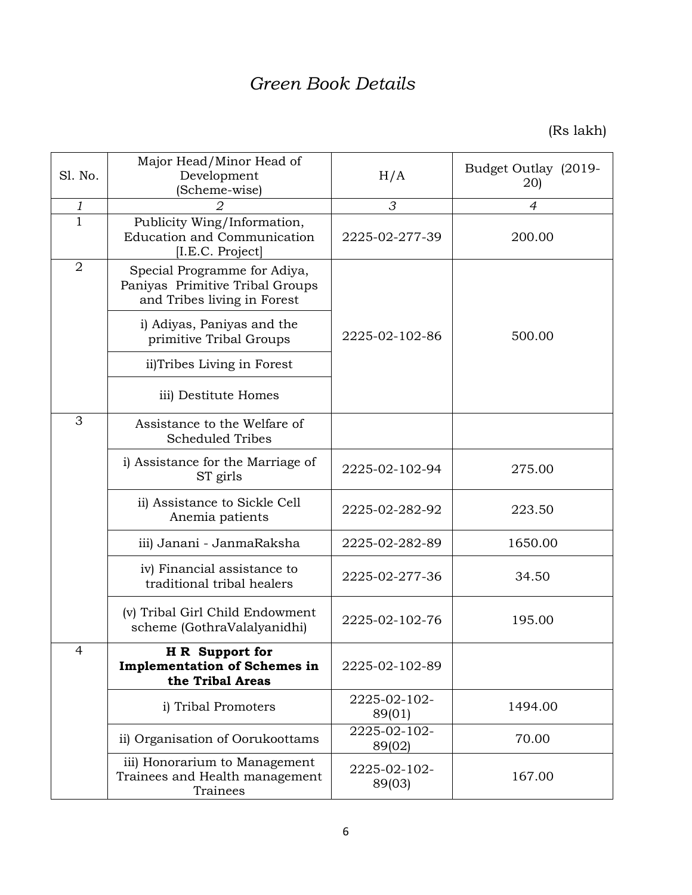# *Green Book Details*

(Rs lakh)

| Sl. No.        | Major Head/Minor Head of<br>Development<br>(Scheme-wise)                                       | H/A                    | Budget Outlay (2019-<br>20) |  |
|----------------|------------------------------------------------------------------------------------------------|------------------------|-----------------------------|--|
| 1              |                                                                                                | 3                      | $\overline{4}$              |  |
| $\overline{1}$ | Publicity Wing/Information,<br><b>Education and Communication</b><br>[I.E.C. Project]          | 2225-02-277-39         | 200.00                      |  |
| $\overline{2}$ | Special Programme for Adiya,<br>Paniyas Primitive Tribal Groups<br>and Tribes living in Forest |                        |                             |  |
|                | i) Adiyas, Paniyas and the<br>primitive Tribal Groups                                          | 2225-02-102-86         |                             |  |
|                | ii)Tribes Living in Forest                                                                     |                        |                             |  |
|                | iii) Destitute Homes                                                                           |                        |                             |  |
| 3              | Assistance to the Welfare of<br><b>Scheduled Tribes</b>                                        |                        |                             |  |
|                | i) Assistance for the Marriage of<br>ST girls                                                  | 2225-02-102-94         | 275.00                      |  |
|                | ii) Assistance to Sickle Cell<br>Anemia patients                                               | 2225-02-282-92         | 223.50                      |  |
|                | iii) Janani - JanmaRaksha                                                                      | 2225-02-282-89         | 1650.00                     |  |
|                | iv) Financial assistance to<br>traditional tribal healers                                      | 2225-02-277-36         | 34.50                       |  |
|                | (v) Tribal Girl Child Endowment<br>scheme (GothraValalyanidhi)                                 | 2225-02-102-76         | 195.00                      |  |
| 4              | H R Support for<br><b>Implementation of Schemes in</b><br>the Tribal Areas                     | 2225-02-102-89         |                             |  |
|                | i) Tribal Promoters                                                                            | 2225-02-102-<br>89(01) | 1494.00                     |  |
|                | ii) Organisation of Oorukoottams                                                               | 2225-02-102-<br>89(02) | 70.00                       |  |
|                | iii) Honorarium to Management<br>Trainees and Health management<br>Trainees                    | 2225-02-102-<br>89(03) | 167.00                      |  |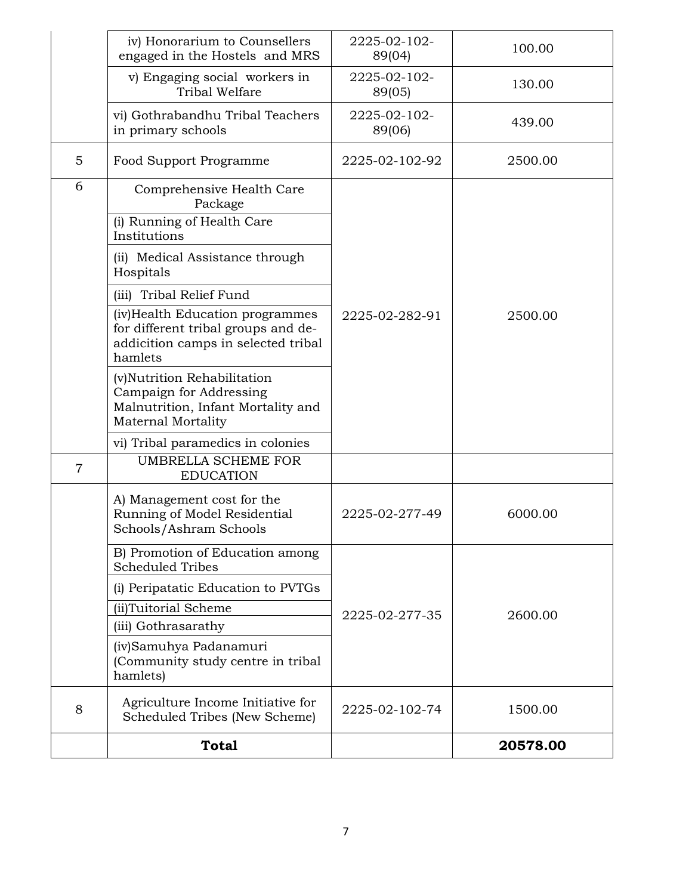|                | iv) Honorarium to Counsellers<br>engaged in the Hostels and MRS                                                           | 2225-02-102-<br>89(04) | 100.00   |
|----------------|---------------------------------------------------------------------------------------------------------------------------|------------------------|----------|
|                | v) Engaging social workers in<br>Tribal Welfare                                                                           | 2225-02-102-<br>89(05) | 130.00   |
|                | vi) Gothrabandhu Tribal Teachers<br>in primary schools                                                                    | 2225-02-102-<br>89(06) | 439.00   |
| 5              | <b>Food Support Programme</b>                                                                                             | 2225-02-102-92         | 2500.00  |
| 6              | Comprehensive Health Care<br>Package                                                                                      |                        |          |
|                | (i) Running of Health Care<br>Institutions                                                                                |                        |          |
|                | (ii) Medical Assistance through<br>Hospitals                                                                              |                        |          |
|                | (iii) Tribal Relief Fund                                                                                                  |                        |          |
|                | (iv)Health Education programmes<br>for different tribal groups and de-<br>addicition camps in selected tribal<br>hamlets  | 2225-02-282-91         | 2500.00  |
|                | (v)Nutrition Rehabilitation<br>Campaign for Addressing<br>Malnutrition, Infant Mortality and<br><b>Maternal Mortality</b> |                        |          |
|                | vi) Tribal paramedics in colonies                                                                                         |                        |          |
| $\overline{7}$ | <b>UMBRELLA SCHEME FOR</b><br><b>EDUCATION</b>                                                                            |                        |          |
|                | A) Management cost for the<br>Running of Model Residential<br>Schools/Ashram Schools                                      | 2225-02-277-49         | 6000.00  |
|                | B) Promotion of Education among<br><b>Scheduled Tribes</b>                                                                |                        |          |
|                | (i) Peripatatic Education to PVTGs                                                                                        |                        |          |
|                | (ii)Tuitorial Scheme                                                                                                      | 2225-02-277-35         | 2600.00  |
|                | (iii) Gothrasarathy                                                                                                       |                        |          |
|                | (iv)Samuhya Padanamuri<br>(Community study centre in tribal<br>hamlets)                                                   |                        |          |
| 8              | Agriculture Income Initiative for<br>Scheduled Tribes (New Scheme)                                                        | 2225-02-102-74         | 1500.00  |
|                | <b>Total</b>                                                                                                              |                        | 20578.00 |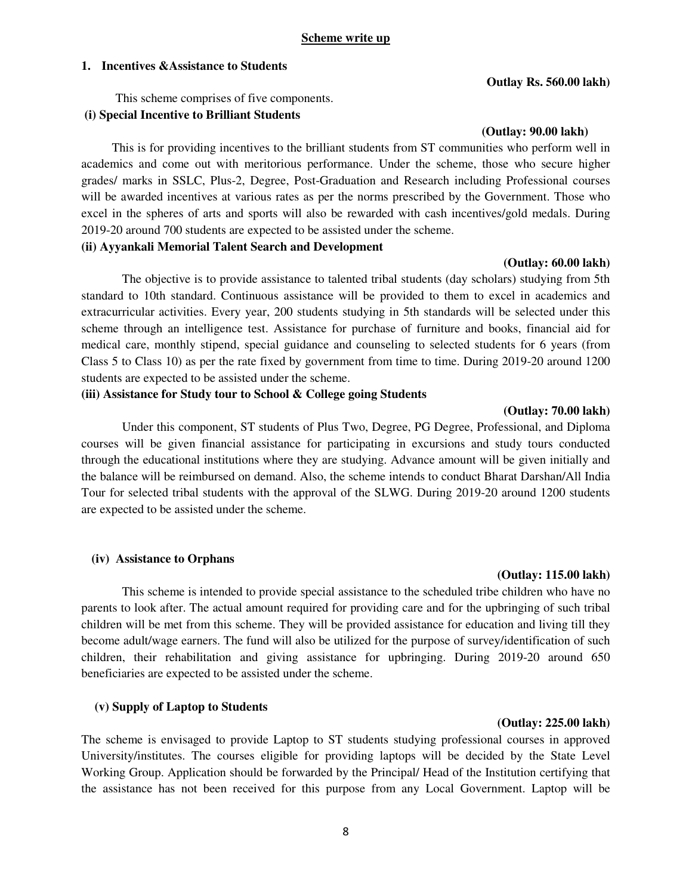#### **1. Incentives &Assistance to Students**

 This scheme comprises of five components.  **(i) Special Incentive to Brilliant Students** 

This is for providing incentives to the brilliant students from ST communities who perform well in academics and come out with meritorious performance. Under the scheme, those who secure higher grades/ marks in SSLC, Plus-2, Degree, Post-Graduation and Research including Professional courses will be awarded incentives at various rates as per the norms prescribed by the Government. Those who excel in the spheres of arts and sports will also be rewarded with cash incentives/gold medals. During 2019-20 around 700 students are expected to be assisted under the scheme.

# **(ii) Ayyankali Memorial Talent Search and Development**

#### **(Outlay: 60.00 lakh)**

 The objective is to provide assistance to talented tribal students (day scholars) studying from 5th standard to 10th standard. Continuous assistance will be provided to them to excel in academics and extracurricular activities. Every year, 200 students studying in 5th standards will be selected under this scheme through an intelligence test. Assistance for purchase of furniture and books, financial aid for medical care, monthly stipend, special guidance and counseling to selected students for 6 years (from Class 5 to Class 10) as per the rate fixed by government from time to time. During 2019-20 around 1200 students are expected to be assisted under the scheme.

#### **(iii) Assistance for Study tour to School & College going Students**

#### **(Outlay: 70.00 lakh)**

 Under this component, ST students of Plus Two, Degree, PG Degree, Professional, and Diploma courses will be given financial assistance for participating in excursions and study tours conducted through the educational institutions where they are studying. Advance amount will be given initially and the balance will be reimbursed on demand. Also, the scheme intends to conduct Bharat Darshan/All India Tour for selected tribal students with the approval of the SLWG. During 2019-20 around 1200 students are expected to be assisted under the scheme.

#### **(iv) Assistance to Orphans**

# This scheme is intended to provide special assistance to the scheduled tribe children who have no parents to look after. The actual amount required for providing care and for the upbringing of such tribal children will be met from this scheme. They will be provided assistance for education and living till they become adult/wage earners. The fund will also be utilized for the purpose of survey/identification of such children, their rehabilitation and giving assistance for upbringing. During 2019-20 around 650 beneficiaries are expected to be assisted under the scheme.

#### **(v) Supply of Laptop to Students**

# The scheme is envisaged to provide Laptop to ST students studying professional courses in approved University/institutes. The courses eligible for providing laptops will be decided by the State Level Working Group. Application should be forwarded by the Principal/ Head of the Institution certifying that the assistance has not been received for this purpose from any Local Government. Laptop will be

#### **Outlay Rs. 560.00 lakh)**

**(Outlay: 90.00 lakh)** 

### **(Outlay: 115.00 lakh)**

**(Outlay: 225.00 lakh)**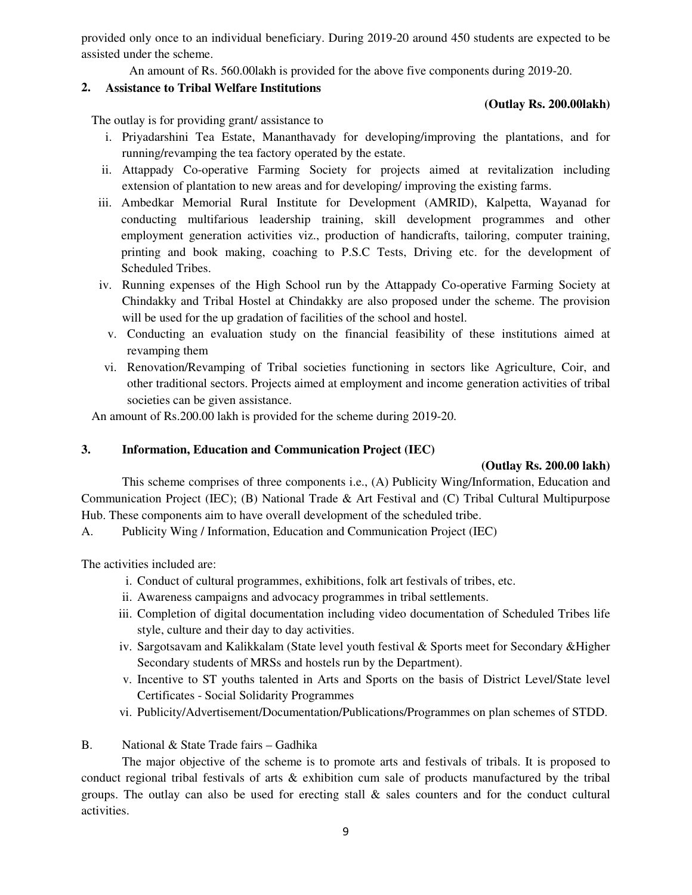provided only once to an individual beneficiary. During 2019-20 around 450 students are expected to be assisted under the scheme.

An amount of Rs. 560.00lakh is provided for the above five components during 2019-20.

# **2. Assistance to Tribal Welfare Institutions**

# **(Outlay Rs. 200.00lakh)**

The outlay is for providing grant/ assistance to

- i. Priyadarshini Tea Estate, Mananthavady for developing/improving the plantations, and for running/revamping the tea factory operated by the estate.
- ii. Attappady Co-operative Farming Society for projects aimed at revitalization including extension of plantation to new areas and for developing/ improving the existing farms.
- iii. Ambedkar Memorial Rural Institute for Development (AMRID), Kalpetta, Wayanad for conducting multifarious leadership training, skill development programmes and other employment generation activities viz., production of handicrafts, tailoring, computer training, printing and book making, coaching to P.S.C Tests, Driving etc. for the development of Scheduled Tribes.
- iv. Running expenses of the High School run by the Attappady Co-operative Farming Society at Chindakky and Tribal Hostel at Chindakky are also proposed under the scheme. The provision will be used for the up gradation of facilities of the school and hostel.
	- v. Conducting an evaluation study on the financial feasibility of these institutions aimed at revamping them
- vi. Renovation/Revamping of Tribal societies functioning in sectors like Agriculture, Coir, and other traditional sectors. Projects aimed at employment and income generation activities of tribal societies can be given assistance.

An amount of Rs.200.00 lakh is provided for the scheme during 2019-20.

# **3. Information, Education and Communication Project (IEC)**

# **(Outlay Rs. 200.00 lakh)**

This scheme comprises of three components i.e., (A) Publicity Wing/Information, Education and Communication Project (IEC); (B) National Trade & Art Festival and (C) Tribal Cultural Multipurpose Hub. These components aim to have overall development of the scheduled tribe.

A. Publicity Wing / Information, Education and Communication Project (IEC)

The activities included are:

- i. Conduct of cultural programmes, exhibitions, folk art festivals of tribes, etc.
- ii. Awareness campaigns and advocacy programmes in tribal settlements.
- iii. Completion of digital documentation including video documentation of Scheduled Tribes life style, culture and their day to day activities.
- iv. Sargotsavam and Kalikkalam (State level youth festival & Sports meet for Secondary &Higher Secondary students of MRSs and hostels run by the Department).
- v. Incentive to ST youths talented in Arts and Sports on the basis of District Level/State level Certificates - Social Solidarity Programmes
- vi. Publicity/Advertisement/Documentation/Publications/Programmes on plan schemes of STDD.
- B. National & State Trade fairs Gadhika

 The major objective of the scheme is to promote arts and festivals of tribals. It is proposed to conduct regional tribal festivals of arts & exhibition cum sale of products manufactured by the tribal groups. The outlay can also be used for erecting stall  $\&$  sales counters and for the conduct cultural activities.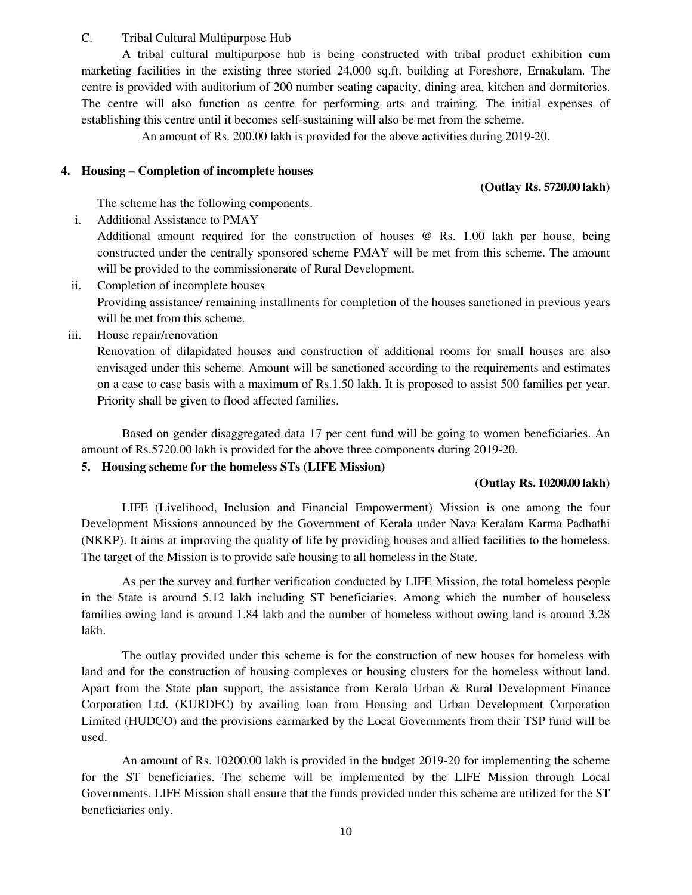# C. Tribal Cultural Multipurpose Hub

 A tribal cultural multipurpose hub is being constructed with tribal product exhibition cum marketing facilities in the existing three storied 24,000 sq.ft. building at Foreshore, Ernakulam. The centre is provided with auditorium of 200 number seating capacity, dining area, kitchen and dormitories. The centre will also function as centre for performing arts and training. The initial expenses of establishing this centre until it becomes self-sustaining will also be met from the scheme.

An amount of Rs. 200.00 lakh is provided for the above activities during 2019-20.

# **4. Housing – Completion of incomplete houses**

# **(Outlay Rs. 5720.00 lakh)**

The scheme has the following components.

i. Additional Assistance to PMAY

Additional amount required for the construction of houses @ Rs. 1.00 lakh per house, being constructed under the centrally sponsored scheme PMAY will be met from this scheme. The amount will be provided to the commissionerate of Rural Development.

ii. Completion of incomplete houses

Providing assistance/ remaining installments for completion of the houses sanctioned in previous years will be met from this scheme.

iii. House repair/renovation

Renovation of dilapidated houses and construction of additional rooms for small houses are also envisaged under this scheme. Amount will be sanctioned according to the requirements and estimates on a case to case basis with a maximum of Rs.1.50 lakh. It is proposed to assist 500 families per year. Priority shall be given to flood affected families.

Based on gender disaggregated data 17 per cent fund will be going to women beneficiaries. An amount of Rs.5720.00 lakh is provided for the above three components during 2019-20.

# **5. Housing scheme for the homeless STs (LIFE Mission)**

# **(Outlay Rs. 10200.00 lakh)**

LIFE (Livelihood, Inclusion and Financial Empowerment) Mission is one among the four Development Missions announced by the Government of Kerala under Nava Keralam Karma Padhathi (NKKP). It aims at improving the quality of life by providing houses and allied facilities to the homeless. The target of the Mission is to provide safe housing to all homeless in the State.

As per the survey and further verification conducted by LIFE Mission, the total homeless people in the State is around 5.12 lakh including ST beneficiaries. Among which the number of houseless families owing land is around 1.84 lakh and the number of homeless without owing land is around 3.28 lakh.

The outlay provided under this scheme is for the construction of new houses for homeless with land and for the construction of housing complexes or housing clusters for the homeless without land. Apart from the State plan support, the assistance from Kerala Urban & Rural Development Finance Corporation Ltd. (KURDFC) by availing loan from Housing and Urban Development Corporation Limited (HUDCO) and the provisions earmarked by the Local Governments from their TSP fund will be used.

An amount of Rs. 10200.00 lakh is provided in the budget 2019-20 for implementing the scheme for the ST beneficiaries. The scheme will be implemented by the LIFE Mission through Local Governments. LIFE Mission shall ensure that the funds provided under this scheme are utilized for the ST beneficiaries only.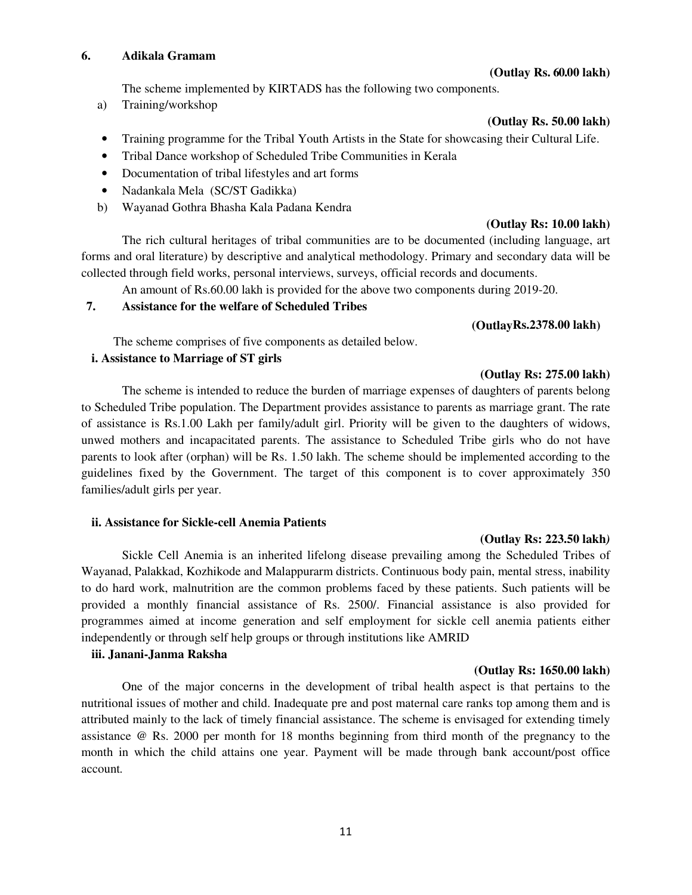## **6. Adikala Gramam**

#### **(Outlay Rs. 60.00 lakh)**

The scheme implemented by KIRTADS has the following two components.

a) Training/workshop

## **(Outlay Rs. 50.00 lakh)**

- Training programme for the Tribal Youth Artists in the State for showcasing their Cultural Life.
- Tribal Dance workshop of Scheduled Tribe Communities in Kerala
- Documentation of tribal lifestyles and art forms
- Nadankala Mela (SC/ST Gadikka)
- b) Wayanad Gothra Bhasha Kala Padana Kendra

# **(Outlay Rs: 10.00 lakh)**

 The rich cultural heritages of tribal communities are to be documented (including language, art forms and oral literature) by descriptive and analytical methodology. Primary and secondary data will be collected through field works, personal interviews, surveys, official records and documents.

An amount of Rs.60.00 lakh is provided for the above two components during 2019-20.

# **7. Assistance for the welfare of Scheduled Tribes**

# **(OutlayRs.2378.00 lakh)**

**(Outlay Rs: 275.00 lakh)** 

The scheme comprises of five components as detailed below.

# **i. Assistance to Marriage of ST girls**

 The scheme is intended to reduce the burden of marriage expenses of daughters of parents belong to Scheduled Tribe population. The Department provides assistance to parents as marriage grant. The rate of assistance is Rs.1.00 Lakh per family/adult girl. Priority will be given to the daughters of widows, unwed mothers and incapacitated parents. The assistance to Scheduled Tribe girls who do not have parents to look after (orphan) will be Rs. 1.50 lakh. The scheme should be implemented according to the guidelines fixed by the Government. The target of this component is to cover approximately 350 families/adult girls per year.

# **ii. Assistance for Sickle-cell Anemia Patients**

#### **(Outlay Rs: 223.50 lakh***)*

 Sickle Cell Anemia is an inherited lifelong disease prevailing among the Scheduled Tribes of Wayanad, Palakkad, Kozhikode and Malappurarm districts. Continuous body pain, mental stress, inability to do hard work, malnutrition are the common problems faced by these patients. Such patients will be provided a monthly financial assistance of Rs. 2500/. Financial assistance is also provided for programmes aimed at income generation and self employment for sickle cell anemia patients either independently or through self help groups or through institutions like AMRID

# **iii. Janani-Janma Raksha**

# **(Outlay Rs: 1650.00 lakh)**

 One of the major concerns in the development of tribal health aspect is that pertains to the nutritional issues of mother and child. Inadequate pre and post maternal care ranks top among them and is attributed mainly to the lack of timely financial assistance. The scheme is envisaged for extending timely assistance @ Rs. 2000 per month for 18 months beginning from third month of the pregnancy to the month in which the child attains one year. Payment will be made through bank account/post office account*.*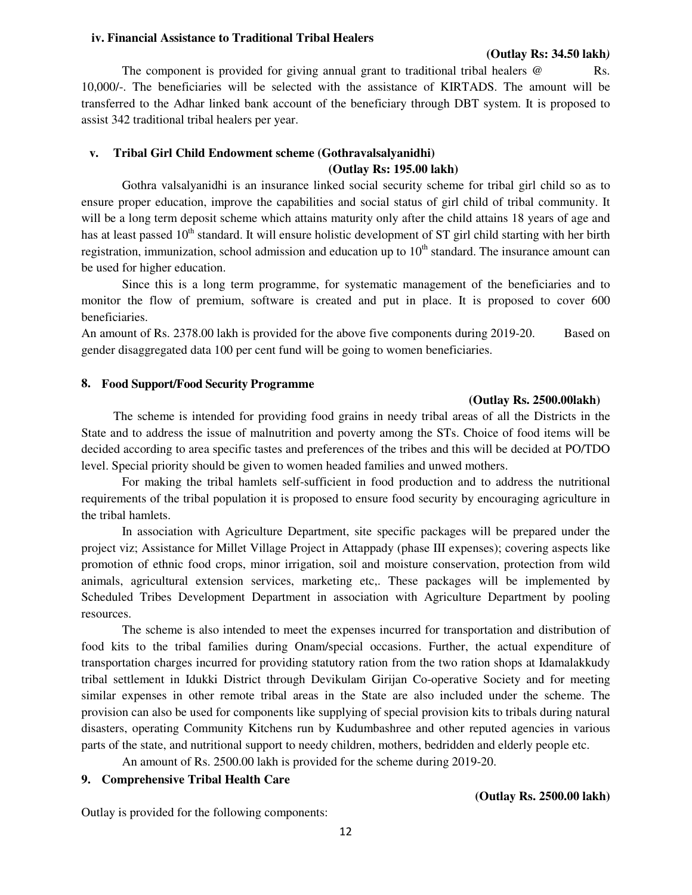#### **iv. Financial Assistance to Traditional Tribal Healers**

#### **(Outlay Rs: 34.50 lakh***)*

The component is provided for giving annual grant to traditional tribal healers  $\omega$  Rs. 10,000/-. The beneficiaries will be selected with the assistance of KIRTADS. The amount will be transferred to the Adhar linked bank account of the beneficiary through DBT system. It is proposed to assist 342 traditional tribal healers per year.

## **v. Tribal Girl Child Endowment scheme (Gothravalsalyanidhi) (Outlay Rs: 195.00 lakh)**

 Gothra valsalyanidhi is an insurance linked social security scheme for tribal girl child so as to ensure proper education, improve the capabilities and social status of girl child of tribal community. It will be a long term deposit scheme which attains maturity only after the child attains 18 years of age and has at least passed  $10<sup>th</sup>$  standard. It will ensure holistic development of ST girl child starting with her birth registration, immunization, school admission and education up to  $10<sup>th</sup>$  standard. The insurance amount can be used for higher education.

 Since this is a long term programme, for systematic management of the beneficiaries and to monitor the flow of premium, software is created and put in place. It is proposed to cover 600 beneficiaries.

An amount of Rs. 2378.00 lakh is provided for the above five components during 2019-20. Based on gender disaggregated data 100 per cent fund will be going to women beneficiaries.

#### **8. Food Support/Food Security Programme**

#### **(Outlay Rs. 2500.00lakh)**

The scheme is intended for providing food grains in needy tribal areas of all the Districts in the State and to address the issue of malnutrition and poverty among the STs. Choice of food items will be decided according to area specific tastes and preferences of the tribes and this will be decided at PO/TDO level. Special priority should be given to women headed families and unwed mothers.

 For making the tribal hamlets self-sufficient in food production and to address the nutritional requirements of the tribal population it is proposed to ensure food security by encouraging agriculture in the tribal hamlets.

In association with Agriculture Department, site specific packages will be prepared under the project viz; Assistance for Millet Village Project in Attappady (phase III expenses); covering aspects like promotion of ethnic food crops, minor irrigation, soil and moisture conservation, protection from wild animals, agricultural extension services, marketing etc,. These packages will be implemented by Scheduled Tribes Development Department in association with Agriculture Department by pooling resources.

 The scheme is also intended to meet the expenses incurred for transportation and distribution of food kits to the tribal families during Onam/special occasions. Further, the actual expenditure of transportation charges incurred for providing statutory ration from the two ration shops at Idamalakkudy tribal settlement in Idukki District through Devikulam Girijan Co-operative Society and for meeting similar expenses in other remote tribal areas in the State are also included under the scheme. The provision can also be used for components like supplying of special provision kits to tribals during natural disasters, operating Community Kitchens run by Kudumbashree and other reputed agencies in various parts of the state, and nutritional support to needy children, mothers, bedridden and elderly people etc.

An amount of Rs. 2500.00 lakh is provided for the scheme during 2019-20.

# **9. Comprehensive Tribal Health Care**

Outlay is provided for the following components:

### **(Outlay Rs. 2500.00 lakh)**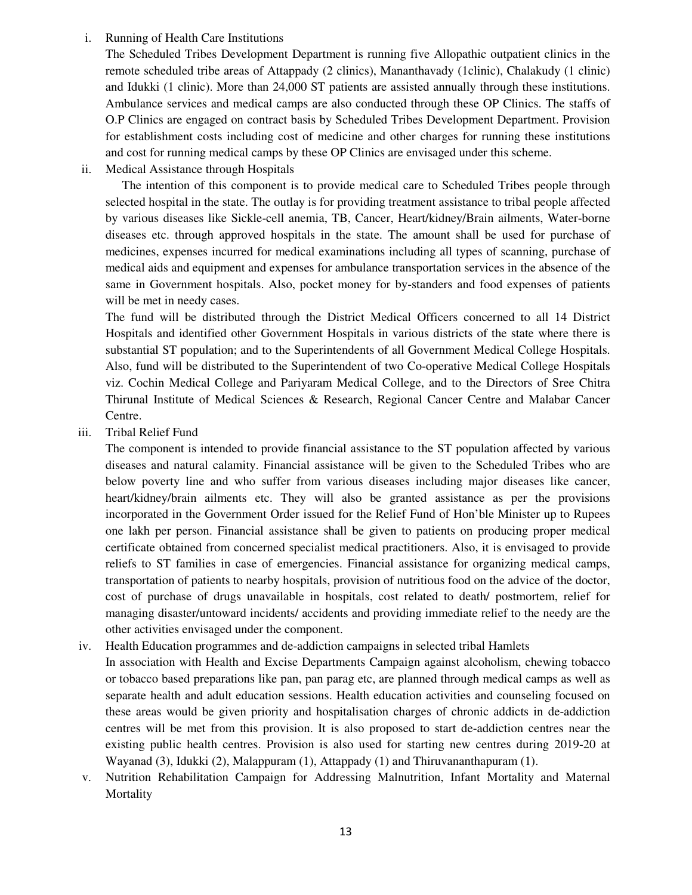# i. Running of Health Care Institutions

The Scheduled Tribes Development Department is running five Allopathic outpatient clinics in the remote scheduled tribe areas of Attappady (2 clinics), Mananthavady (1clinic), Chalakudy (1 clinic) and Idukki (1 clinic). More than 24,000 ST patients are assisted annually through these institutions. Ambulance services and medical camps are also conducted through these OP Clinics. The staffs of O.P Clinics are engaged on contract basis by Scheduled Tribes Development Department. Provision for establishment costs including cost of medicine and other charges for running these institutions and cost for running medical camps by these OP Clinics are envisaged under this scheme.

ii. Medical Assistance through Hospitals

 The intention of this component is to provide medical care to Scheduled Tribes people through selected hospital in the state. The outlay is for providing treatment assistance to tribal people affected by various diseases like Sickle-cell anemia, TB, Cancer, Heart/kidney/Brain ailments, Water-borne diseases etc. through approved hospitals in the state. The amount shall be used for purchase of medicines, expenses incurred for medical examinations including all types of scanning, purchase of medical aids and equipment and expenses for ambulance transportation services in the absence of the same in Government hospitals. Also, pocket money for by-standers and food expenses of patients will be met in needy cases.

The fund will be distributed through the District Medical Officers concerned to all 14 District Hospitals and identified other Government Hospitals in various districts of the state where there is substantial ST population; and to the Superintendents of all Government Medical College Hospitals. Also, fund will be distributed to the Superintendent of two Co-operative Medical College Hospitals viz. Cochin Medical College and Pariyaram Medical College, and to the Directors of Sree Chitra Thirunal Institute of Medical Sciences & Research, Regional Cancer Centre and Malabar Cancer Centre.

iii. Tribal Relief Fund

The component is intended to provide financial assistance to the ST population affected by various diseases and natural calamity. Financial assistance will be given to the Scheduled Tribes who are below poverty line and who suffer from various diseases including major diseases like cancer, heart/kidney/brain ailments etc. They will also be granted assistance as per the provisions incorporated in the Government Order issued for the Relief Fund of Hon'ble Minister up to Rupees one lakh per person. Financial assistance shall be given to patients on producing proper medical certificate obtained from concerned specialist medical practitioners. Also, it is envisaged to provide reliefs to ST families in case of emergencies. Financial assistance for organizing medical camps, transportation of patients to nearby hospitals, provision of nutritious food on the advice of the doctor, cost of purchase of drugs unavailable in hospitals, cost related to death/ postmortem, relief for managing disaster/untoward incidents/ accidents and providing immediate relief to the needy are the other activities envisaged under the component.

- iv. Health Education programmes and de-addiction campaigns in selected tribal Hamlets
- In association with Health and Excise Departments Campaign against alcoholism, chewing tobacco or tobacco based preparations like pan, pan parag etc, are planned through medical camps as well as separate health and adult education sessions. Health education activities and counseling focused on these areas would be given priority and hospitalisation charges of chronic addicts in de-addiction centres will be met from this provision. It is also proposed to start de-addiction centres near the existing public health centres. Provision is also used for starting new centres during 2019-20 at Wayanad (3), Idukki (2), Malappuram (1), Attappady (1) and Thiruvananthapuram (1).
- v. Nutrition Rehabilitation Campaign for Addressing Malnutrition, Infant Mortality and Maternal **Mortality**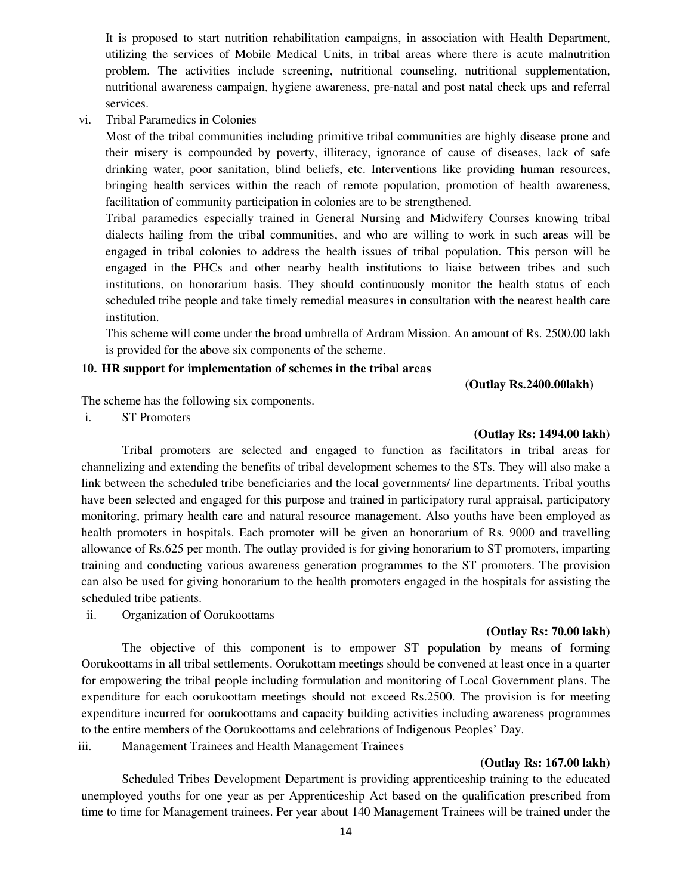It is proposed to start nutrition rehabilitation campaigns, in association with Health Department, utilizing the services of Mobile Medical Units, in tribal areas where there is acute malnutrition problem. The activities include screening, nutritional counseling, nutritional supplementation, nutritional awareness campaign, hygiene awareness, pre-natal and post natal check ups and referral services.

vi. Tribal Paramedics in Colonies

Most of the tribal communities including primitive tribal communities are highly disease prone and their misery is compounded by poverty, illiteracy, ignorance of cause of diseases, lack of safe drinking water, poor sanitation, blind beliefs, etc. Interventions like providing human resources, bringing health services within the reach of remote population, promotion of health awareness, facilitation of community participation in colonies are to be strengthened.

Tribal paramedics especially trained in General Nursing and Midwifery Courses knowing tribal dialects hailing from the tribal communities, and who are willing to work in such areas will be engaged in tribal colonies to address the health issues of tribal population. This person will be engaged in the PHCs and other nearby health institutions to liaise between tribes and such institutions, on honorarium basis. They should continuously monitor the health status of each scheduled tribe people and take timely remedial measures in consultation with the nearest health care institution.

This scheme will come under the broad umbrella of Ardram Mission. An amount of Rs. 2500.00 lakh is provided for the above six components of the scheme.

# **10. HR support for implementation of schemes in the tribal areas**

 **(Outlay Rs.2400.00lakh)**

The scheme has the following six components.

i. ST Promoters

#### **(Outlay Rs: 1494.00 lakh)**

 Tribal promoters are selected and engaged to function as facilitators in tribal areas for channelizing and extending the benefits of tribal development schemes to the STs. They will also make a link between the scheduled tribe beneficiaries and the local governments/ line departments. Tribal youths have been selected and engaged for this purpose and trained in participatory rural appraisal, participatory monitoring, primary health care and natural resource management. Also youths have been employed as health promoters in hospitals. Each promoter will be given an honorarium of Rs. 9000 and travelling allowance of Rs.625 per month. The outlay provided is for giving honorarium to ST promoters, imparting training and conducting various awareness generation programmes to the ST promoters. The provision can also be used for giving honorarium to the health promoters engaged in the hospitals for assisting the scheduled tribe patients.

ii. Organization of Oorukoottams

#### **(Outlay Rs: 70.00 lakh)**

 The objective of this component is to empower ST population by means of forming Oorukoottams in all tribal settlements. Oorukottam meetings should be convened at least once in a quarter for empowering the tribal people including formulation and monitoring of Local Government plans. The expenditure for each oorukoottam meetings should not exceed Rs.2500. The provision is for meeting expenditure incurred for oorukoottams and capacity building activities including awareness programmes to the entire members of the Oorukoottams and celebrations of Indigenous Peoples' Day.

iii. Management Trainees and Health Management Trainees

#### **(Outlay Rs: 167.00 lakh)**

 Scheduled Tribes Development Department is providing apprenticeship training to the educated unemployed youths for one year as per Apprenticeship Act based on the qualification prescribed from time to time for Management trainees. Per year about 140 Management Trainees will be trained under the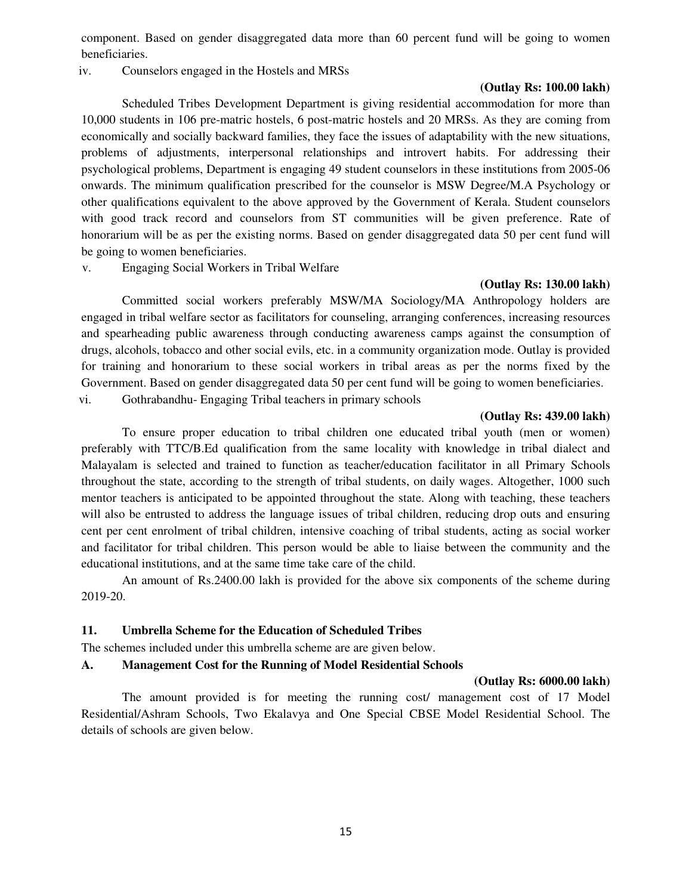component. Based on gender disaggregated data more than 60 percent fund will be going to women beneficiaries.

iv. Counselors engaged in the Hostels and MRSs

# **(Outlay Rs: 100.00 lakh)**

 Scheduled Tribes Development Department is giving residential accommodation for more than 10,000 students in 106 pre-matric hostels, 6 post-matric hostels and 20 MRSs. As they are coming from economically and socially backward families, they face the issues of adaptability with the new situations, problems of adjustments, interpersonal relationships and introvert habits. For addressing their psychological problems, Department is engaging 49 student counselors in these institutions from 2005-06 onwards. The minimum qualification prescribed for the counselor is MSW Degree/M.A Psychology or other qualifications equivalent to the above approved by the Government of Kerala. Student counselors with good track record and counselors from ST communities will be given preference. Rate of honorarium will be as per the existing norms. Based on gender disaggregated data 50 per cent fund will be going to women beneficiaries.

v. Engaging Social Workers in Tribal Welfare

## **(Outlay Rs: 130.00 lakh)**

 Committed social workers preferably MSW/MA Sociology/MA Anthropology holders are engaged in tribal welfare sector as facilitators for counseling, arranging conferences, increasing resources and spearheading public awareness through conducting awareness camps against the consumption of drugs, alcohols, tobacco and other social evils, etc. in a community organization mode. Outlay is provided for training and honorarium to these social workers in tribal areas as per the norms fixed by the Government. Based on gender disaggregated data 50 per cent fund will be going to women beneficiaries. vi. Gothrabandhu- Engaging Tribal teachers in primary schools

## **(Outlay Rs: 439.00 lakh)**

 To ensure proper education to tribal children one educated tribal youth (men or women) preferably with TTC/B.Ed qualification from the same locality with knowledge in tribal dialect and Malayalam is selected and trained to function as teacher/education facilitator in all Primary Schools throughout the state, according to the strength of tribal students, on daily wages. Altogether, 1000 such mentor teachers is anticipated to be appointed throughout the state. Along with teaching, these teachers will also be entrusted to address the language issues of tribal children, reducing drop outs and ensuring cent per cent enrolment of tribal children, intensive coaching of tribal students, acting as social worker and facilitator for tribal children. This person would be able to liaise between the community and the educational institutions, and at the same time take care of the child.

 An amount of Rs.2400.00 lakh is provided for the above six components of the scheme during 2019-20.

# **11. Umbrella Scheme for the Education of Scheduled Tribes**

The schemes included under this umbrella scheme are are given below.

#### **A. Management Cost for the Running of Model Residential Schools**

#### **(Outlay Rs: 6000.00 lakh)**

 The amount provided is for meeting the running cost/ management cost of 17 Model Residential/Ashram Schools, Two Ekalavya and One Special CBSE Model Residential School. The details of schools are given below.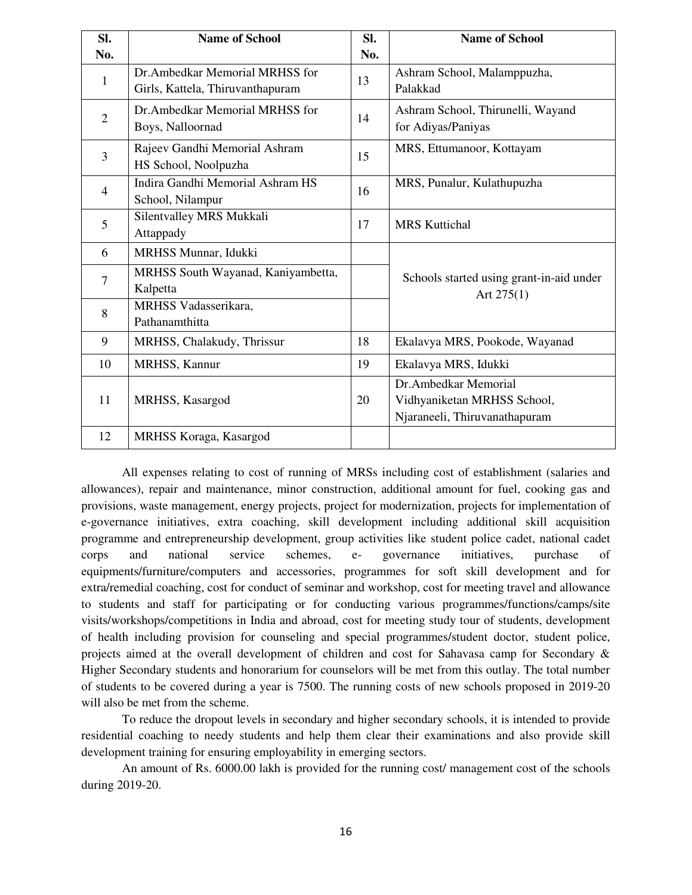| SI.            | <b>Name of School</b>              | Sl. | <b>Name of School</b>                    |
|----------------|------------------------------------|-----|------------------------------------------|
| No.            |                                    | No. |                                          |
| 1              | Dr.Ambedkar Memorial MRHSS for     | 13  | Ashram School, Malamppuzha,              |
|                | Girls, Kattela, Thiruvanthapuram   |     | Palakkad                                 |
| $\overline{2}$ | Dr.Ambedkar Memorial MRHSS for     | 14  | Ashram School, Thirunelli, Wayand        |
|                | Boys, Nalloornad                   |     | for Adiyas/Paniyas                       |
| $\overline{3}$ | Rajeev Gandhi Memorial Ashram      | 15  | MRS, Ettumanoor, Kottayam                |
|                | HS School, Noolpuzha               |     |                                          |
| $\overline{4}$ | Indira Gandhi Memorial Ashram HS   | 16  | MRS, Punalur, Kulathupuzha               |
|                | School, Nilampur                   |     |                                          |
| 5              | Silentvalley MRS Mukkali           | 17  | <b>MRS</b> Kuttichal                     |
|                | Attappady                          |     |                                          |
| 6              | MRHSS Munnar, Idukki               |     |                                          |
| $\overline{7}$ | MRHSS South Wayanad, Kaniyambetta, |     | Schools started using grant-in-aid under |
|                | Kalpetta                           |     | Art $275(1)$                             |
| 8              | MRHSS Vadasserikara,               |     |                                          |
|                | Pathanamthitta                     |     |                                          |
| 9              | MRHSS, Chalakudy, Thrissur         | 18  | Ekalavya MRS, Pookode, Wayanad           |
| 10             | MRHSS, Kannur                      | 19  | Ekalavya MRS, Idukki                     |
|                |                                    |     | Dr.Ambedkar Memorial                     |
| 11             | MRHSS, Kasargod                    | 20  | Vidhyaniketan MRHSS School,              |
|                |                                    |     | Njaraneeli, Thiruvanathapuram            |
| 12             | MRHSS Koraga, Kasargod             |     |                                          |

 All expenses relating to cost of running of MRSs including cost of establishment (salaries and allowances), repair and maintenance, minor construction, additional amount for fuel, cooking gas and provisions, waste management, energy projects, project for modernization, projects for implementation of e-governance initiatives, extra coaching, skill development including additional skill acquisition programme and entrepreneurship development, group activities like student police cadet, national cadet corps and national service schemes, e- governance initiatives, purchase of equipments/furniture/computers and accessories, programmes for soft skill development and for extra/remedial coaching, cost for conduct of seminar and workshop, cost for meeting travel and allowance to students and staff for participating or for conducting various programmes/functions/camps/site visits/workshops/competitions in India and abroad, cost for meeting study tour of students, development of health including provision for counseling and special programmes/student doctor, student police, projects aimed at the overall development of children and cost for Sahavasa camp for Secondary & Higher Secondary students and honorarium for counselors will be met from this outlay. The total number of students to be covered during a year is 7500. The running costs of new schools proposed in 2019-20 will also be met from the scheme.

To reduce the dropout levels in secondary and higher secondary schools, it is intended to provide residential coaching to needy students and help them clear their examinations and also provide skill development training for ensuring employability in emerging sectors.

 An amount of Rs. 6000.00 lakh is provided for the running cost/ management cost of the schools during 2019-20.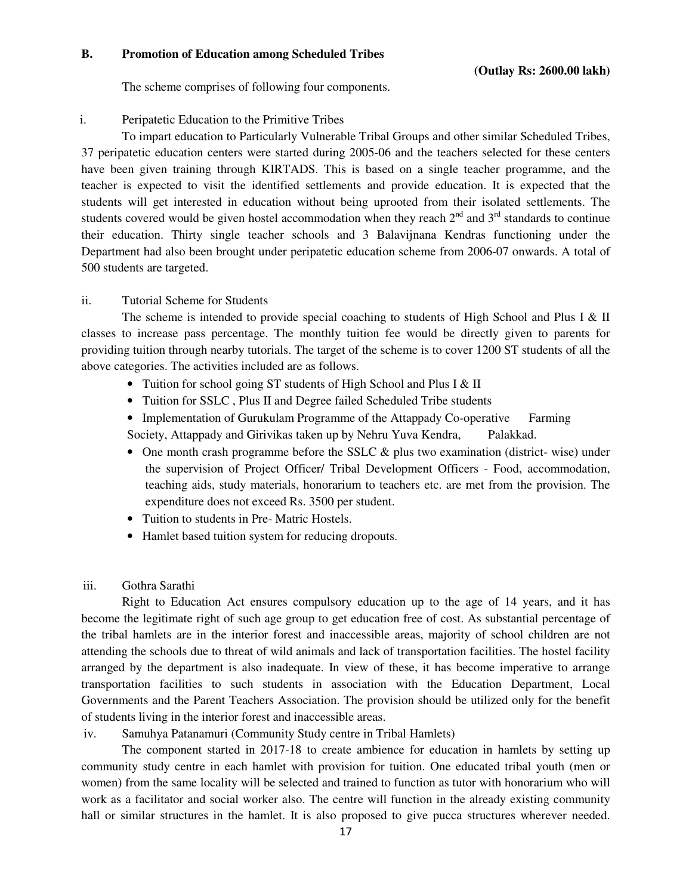## **B. Promotion of Education among Scheduled Tribes**

The scheme comprises of following four components.

# i. Peripatetic Education to the Primitive Tribes

 To impart education to Particularly Vulnerable Tribal Groups and other similar Scheduled Tribes, 37 peripatetic education centers were started during 2005-06 and the teachers selected for these centers have been given training through KIRTADS. This is based on a single teacher programme, and the teacher is expected to visit the identified settlements and provide education. It is expected that the students will get interested in education without being uprooted from their isolated settlements. The students covered would be given hostel accommodation when they reach  $2<sup>nd</sup>$  and  $3<sup>rd</sup>$  standards to continue their education. Thirty single teacher schools and 3 Balavijnana Kendras functioning under the Department had also been brought under peripatetic education scheme from 2006-07 onwards. A total of 500 students are targeted.

# ii. Tutorial Scheme for Students

The scheme is intended to provide special coaching to students of High School and Plus I & II classes to increase pass percentage. The monthly tuition fee would be directly given to parents for providing tuition through nearby tutorials. The target of the scheme is to cover 1200 ST students of all the above categories. The activities included are as follows.

- Tuition for school going ST students of High School and Plus I & II
- Tuition for SSLC , Plus II and Degree failed Scheduled Tribe students
- Implementation of Gurukulam Programme of the Attappady Co-operative Farming Society, Attappady and Girivikas taken up by Nehru Yuva Kendra, Palakkad.
- One month crash programme before the SSLC & plus two examination (district- wise) under the supervision of Project Officer/ Tribal Development Officers - Food, accommodation, teaching aids, study materials, honorarium to teachers etc. are met from the provision. The expenditure does not exceed Rs. 3500 per student.
- Tuition to students in Pre- Matric Hostels.
- Hamlet based tuition system for reducing dropouts.
- iii. Gothra Sarathi

 Right to Education Act ensures compulsory education up to the age of 14 years, and it has become the legitimate right of such age group to get education free of cost. As substantial percentage of the tribal hamlets are in the interior forest and inaccessible areas, majority of school children are not attending the schools due to threat of wild animals and lack of transportation facilities. The hostel facility arranged by the department is also inadequate. In view of these, it has become imperative to arrange transportation facilities to such students in association with the Education Department, Local Governments and the Parent Teachers Association. The provision should be utilized only for the benefit of students living in the interior forest and inaccessible areas.

iv. Samuhya Patanamuri (Community Study centre in Tribal Hamlets)

 The component started in 2017-18 to create ambience for education in hamlets by setting up community study centre in each hamlet with provision for tuition. One educated tribal youth (men or women) from the same locality will be selected and trained to function as tutor with honorarium who will work as a facilitator and social worker also. The centre will function in the already existing community hall or similar structures in the hamlet. It is also proposed to give pucca structures wherever needed.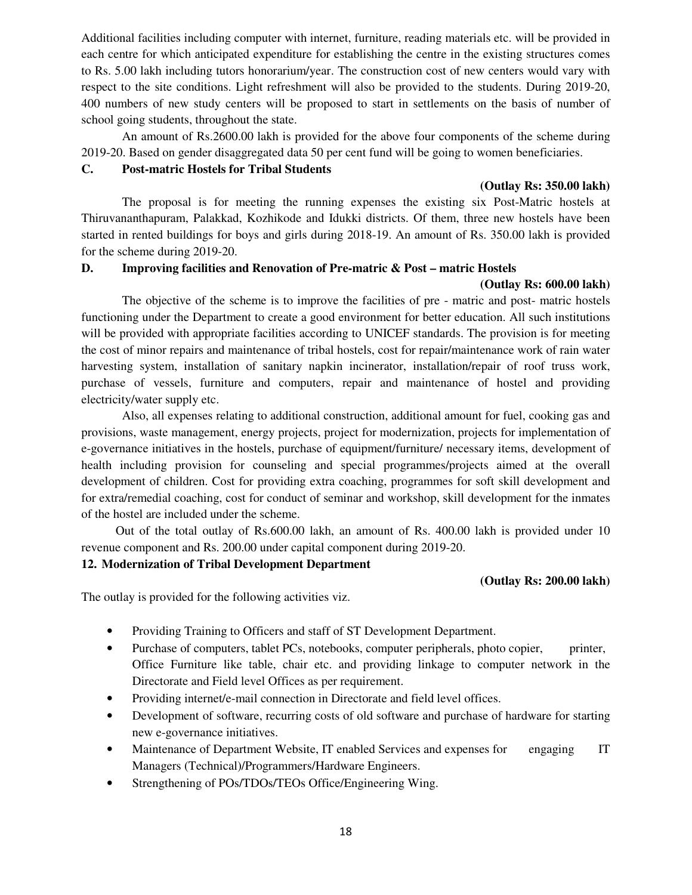Additional facilities including computer with internet, furniture, reading materials etc. will be provided in each centre for which anticipated expenditure for establishing the centre in the existing structures comes to Rs. 5.00 lakh including tutors honorarium/year. The construction cost of new centers would vary with respect to the site conditions. Light refreshment will also be provided to the students. During 2019-20, 400 numbers of new study centers will be proposed to start in settlements on the basis of number of school going students, throughout the state.

 An amount of Rs.2600.00 lakh is provided for the above four components of the scheme during 2019-20. Based on gender disaggregated data 50 per cent fund will be going to women beneficiaries.

# **C. Post-matric Hostels for Tribal Students**

# **(Outlay Rs: 350.00 lakh)**

The proposal is for meeting the running expenses the existing six Post-Matric hostels at Thiruvananthapuram, Palakkad, Kozhikode and Idukki districts. Of them, three new hostels have been started in rented buildings for boys and girls during 2018-19. An amount of Rs. 350.00 lakh is provided for the scheme during 2019-20.

# **D. Improving facilities and Renovation of Pre-matric & Post – matric Hostels**

# **(Outlay Rs: 600.00 lakh)**

 The objective of the scheme is to improve the facilities of pre - matric and post- matric hostels functioning under the Department to create a good environment for better education. All such institutions will be provided with appropriate facilities according to UNICEF standards. The provision is for meeting the cost of minor repairs and maintenance of tribal hostels, cost for repair/maintenance work of rain water harvesting system, installation of sanitary napkin incinerator, installation/repair of roof truss work, purchase of vessels, furniture and computers, repair and maintenance of hostel and providing electricity/water supply etc.

Also, all expenses relating to additional construction, additional amount for fuel, cooking gas and provisions, waste management, energy projects, project for modernization, projects for implementation of e-governance initiatives in the hostels, purchase of equipment/furniture/ necessary items, development of health including provision for counseling and special programmes/projects aimed at the overall development of children. Cost for providing extra coaching, programmes for soft skill development and for extra/remedial coaching, cost for conduct of seminar and workshop, skill development for the inmates of the hostel are included under the scheme.

 Out of the total outlay of Rs.600.00 lakh, an amount of Rs. 400.00 lakh is provided under 10 revenue component and Rs. 200.00 under capital component during 2019-20.

# **12. Modernization of Tribal Development Department**

# **(Outlay Rs: 200.00 lakh)**

The outlay is provided for the following activities viz.

- Providing Training to Officers and staff of ST Development Department.
- Purchase of computers, tablet PCs, notebooks, computer peripherals, photo copier, printer, Office Furniture like table, chair etc. and providing linkage to computer network in the Directorate and Field level Offices as per requirement.
- Providing internet/e-mail connection in Directorate and field level offices.
- Development of software, recurring costs of old software and purchase of hardware for starting new e-governance initiatives.
- Maintenance of Department Website, IT enabled Services and expenses for engaging IT Managers (Technical)/Programmers/Hardware Engineers.
- Strengthening of POs/TDOs/TEOs Office/Engineering Wing.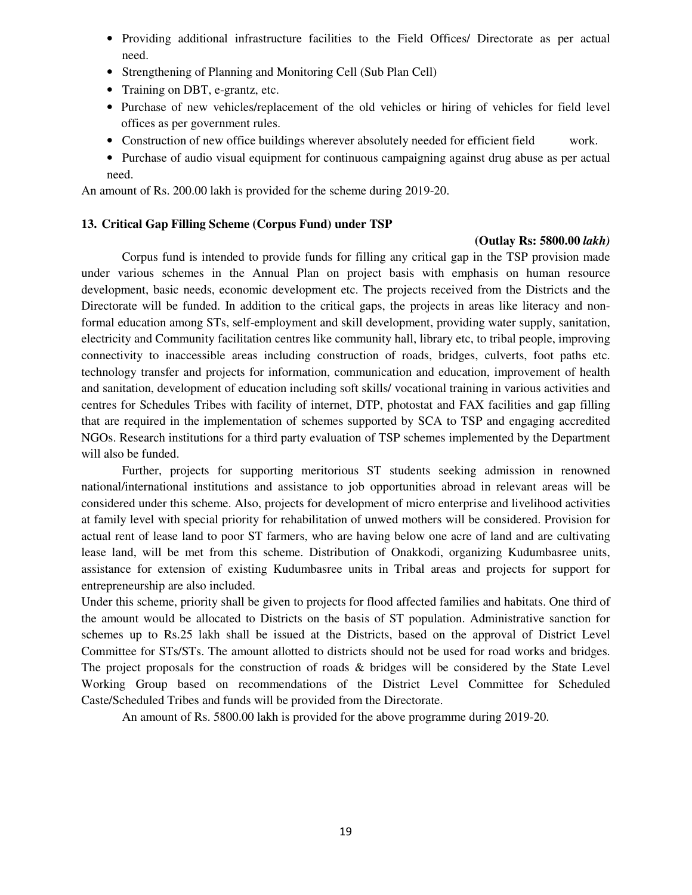- Providing additional infrastructure facilities to the Field Offices/ Directorate as per actual need.
- Strengthening of Planning and Monitoring Cell (Sub Plan Cell)
- Training on DBT, e-grantz, etc.
- Purchase of new vehicles/replacement of the old vehicles or hiring of vehicles for field level offices as per government rules.
- Construction of new office buildings wherever absolutely needed for efficient field work.
- Purchase of audio visual equipment for continuous campaigning against drug abuse as per actual need.

An amount of Rs. 200.00 lakh is provided for the scheme during 2019-20.

# **13. Critical Gap Filling Scheme (Corpus Fund) under TSP**

#### **(Outlay Rs: 5800.00** *lakh)*

 Corpus fund is intended to provide funds for filling any critical gap in the TSP provision made under various schemes in the Annual Plan on project basis with emphasis on human resource development, basic needs, economic development etc. The projects received from the Districts and the Directorate will be funded. In addition to the critical gaps, the projects in areas like literacy and nonformal education among STs, self-employment and skill development, providing water supply, sanitation, electricity and Community facilitation centres like community hall, library etc, to tribal people, improving connectivity to inaccessible areas including construction of roads, bridges, culverts, foot paths etc. technology transfer and projects for information, communication and education, improvement of health and sanitation, development of education including soft skills/ vocational training in various activities and centres for Schedules Tribes with facility of internet, DTP, photostat and FAX facilities and gap filling that are required in the implementation of schemes supported by SCA to TSP and engaging accredited NGOs. Research institutions for a third party evaluation of TSP schemes implemented by the Department will also be funded.

 Further, projects for supporting meritorious ST students seeking admission in renowned national/international institutions and assistance to job opportunities abroad in relevant areas will be considered under this scheme. Also, projects for development of micro enterprise and livelihood activities at family level with special priority for rehabilitation of unwed mothers will be considered. Provision for actual rent of lease land to poor ST farmers, who are having below one acre of land and are cultivating lease land, will be met from this scheme. Distribution of Onakkodi, organizing Kudumbasree units, assistance for extension of existing Kudumbasree units in Tribal areas and projects for support for entrepreneurship are also included.

Under this scheme, priority shall be given to projects for flood affected families and habitats. One third of the amount would be allocated to Districts on the basis of ST population. Administrative sanction for schemes up to Rs.25 lakh shall be issued at the Districts, based on the approval of District Level Committee for STs/STs. The amount allotted to districts should not be used for road works and bridges. The project proposals for the construction of roads & bridges will be considered by the State Level Working Group based on recommendations of the District Level Committee for Scheduled Caste/Scheduled Tribes and funds will be provided from the Directorate.

An amount of Rs. 5800.00 lakh is provided for the above programme during 2019-20.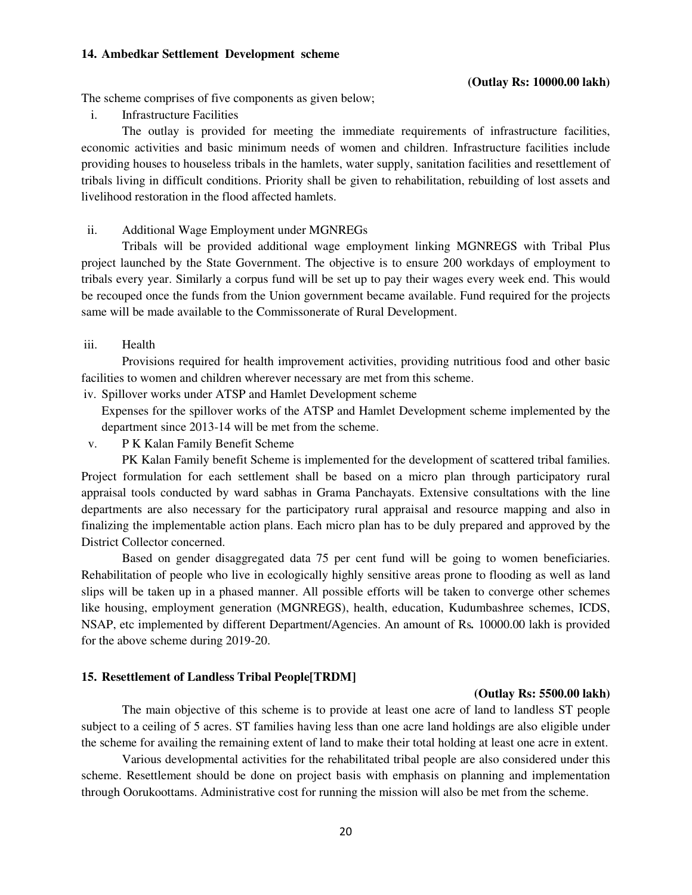#### **14. Ambedkar Settlement Development scheme**

#### **(Outlay Rs: 10000.00 lakh)**

The scheme comprises of five components as given below;

i. Infrastructure Facilities

 The outlay is provided for meeting the immediate requirements of infrastructure facilities, economic activities and basic minimum needs of women and children. Infrastructure facilities include providing houses to houseless tribals in the hamlets, water supply, sanitation facilities and resettlement of tribals living in difficult conditions. Priority shall be given to rehabilitation, rebuilding of lost assets and livelihood restoration in the flood affected hamlets.

ii. Additional Wage Employment under MGNREGs

 Tribals will be provided additional wage employment linking MGNREGS with Tribal Plus project launched by the State Government. The objective is to ensure 200 workdays of employment to tribals every year. Similarly a corpus fund will be set up to pay their wages every week end. This would be recouped once the funds from the Union government became available. Fund required for the projects same will be made available to the Commissonerate of Rural Development.

iii. Health

 Provisions required for health improvement activities, providing nutritious food and other basic facilities to women and children wherever necessary are met from this scheme.

iv. Spillover works under ATSP and Hamlet Development scheme

Expenses for the spillover works of the ATSP and Hamlet Development scheme implemented by the department since 2013-14 will be met from the scheme.

v. P K Kalan Family Benefit Scheme

 PK Kalan Family benefit Scheme is implemented for the development of scattered tribal families. Project formulation for each settlement shall be based on a micro plan through participatory rural appraisal tools conducted by ward sabhas in Grama Panchayats. Extensive consultations with the line departments are also necessary for the participatory rural appraisal and resource mapping and also in finalizing the implementable action plans. Each micro plan has to be duly prepared and approved by the District Collector concerned.

 Based on gender disaggregated data 75 per cent fund will be going to women beneficiaries. Rehabilitation of people who live in ecologically highly sensitive areas prone to flooding as well as land slips will be taken up in a phased manner. All possible efforts will be taken to converge other schemes like housing, employment generation (MGNREGS), health, education, Kudumbashree schemes, ICDS, NSAP, etc implemented by different Department/Agencies. An amount of Rs*.* 10000.00 lakh is provided for the above scheme during 2019-20.

#### **15. Resettlement of Landless Tribal People[TRDM]**

#### **(Outlay Rs: 5500.00 lakh)**

 The main objective of this scheme is to provide at least one acre of land to landless ST people subject to a ceiling of 5 acres. ST families having less than one acre land holdings are also eligible under the scheme for availing the remaining extent of land to make their total holding at least one acre in extent.

 Various developmental activities for the rehabilitated tribal people are also considered under this scheme. Resettlement should be done on project basis with emphasis on planning and implementation through Oorukoottams. Administrative cost for running the mission will also be met from the scheme.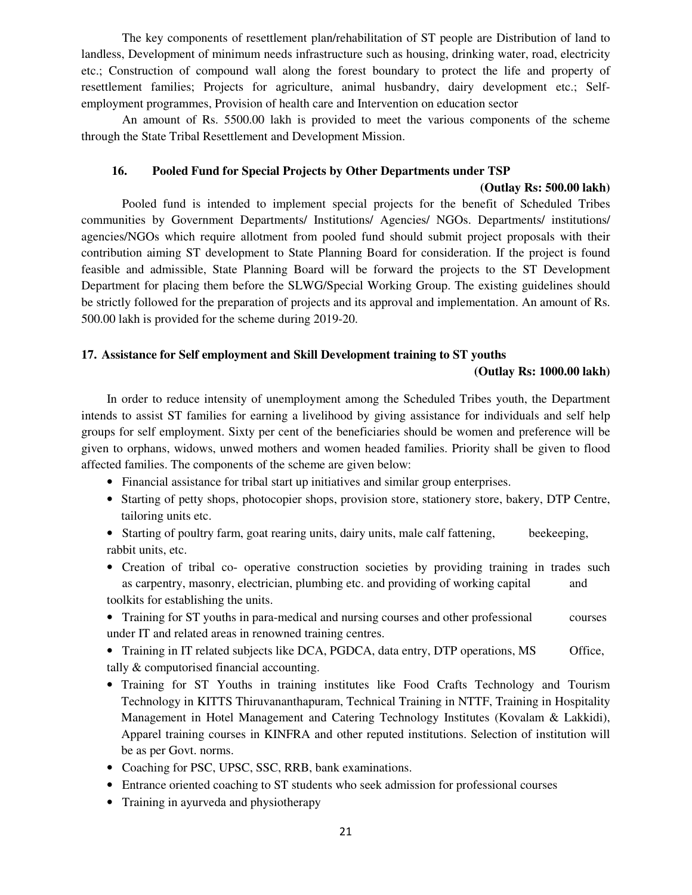The key components of resettlement plan/rehabilitation of ST people are Distribution of land to landless, Development of minimum needs infrastructure such as housing, drinking water, road, electricity etc.; Construction of compound wall along the forest boundary to protect the life and property of resettlement families; Projects for agriculture, animal husbandry, dairy development etc.; Selfemployment programmes, Provision of health care and Intervention on education sector

 An amount of Rs. 5500.00 lakh is provided to meet the various components of the scheme through the State Tribal Resettlement and Development Mission.

# **16. Pooled Fund for Special Projects by Other Departments under TSP**

#### **(Outlay Rs: 500.00 lakh)**

 Pooled fund is intended to implement special projects for the benefit of Scheduled Tribes communities by Government Departments/ Institutions/ Agencies/ NGOs. Departments/ institutions/ agencies/NGOs which require allotment from pooled fund should submit project proposals with their contribution aiming ST development to State Planning Board for consideration. If the project is found feasible and admissible, State Planning Board will be forward the projects to the ST Development Department for placing them before the SLWG/Special Working Group. The existing guidelines should be strictly followed for the preparation of projects and its approval and implementation. An amount of Rs. 500.00 lakh is provided for the scheme during 2019-20.

# **17. Assistance for Self employment and Skill Development training to ST youths**

#### **(Outlay Rs: 1000.00 lakh)**

In order to reduce intensity of unemployment among the Scheduled Tribes youth, the Department intends to assist ST families for earning a livelihood by giving assistance for individuals and self help groups for self employment. Sixty per cent of the beneficiaries should be women and preference will be given to orphans, widows, unwed mothers and women headed families. Priority shall be given to flood affected families. The components of the scheme are given below:

- Financial assistance for tribal start up initiatives and similar group enterprises.
- Starting of petty shops, photocopier shops, provision store, stationery store, bakery, DTP Centre, tailoring units etc.
- Starting of poultry farm, goat rearing units, dairy units, male calf fattening, beekeeping, rabbit units, etc.
- Creation of tribal co- operative construction societies by providing training in trades such as carpentry, masonry, electrician, plumbing etc. and providing of working capital and toolkits for establishing the units.
- Training for ST youths in para-medical and nursing courses and other professional courses under IT and related areas in renowned training centres.
- Training in IT related subjects like DCA, PGDCA, data entry, DTP operations, MS Office, tally & computorised financial accounting.
- Training for ST Youths in training institutes like Food Crafts Technology and Tourism Technology in KITTS Thiruvananthapuram, Technical Training in NTTF, Training in Hospitality Management in Hotel Management and Catering Technology Institutes (Kovalam & Lakkidi), Apparel training courses in KINFRA and other reputed institutions. Selection of institution will be as per Govt. norms.
- Coaching for PSC, UPSC, SSC, RRB, bank examinations.
- Entrance oriented coaching to ST students who seek admission for professional courses
- Training in ayurveda and physiotherapy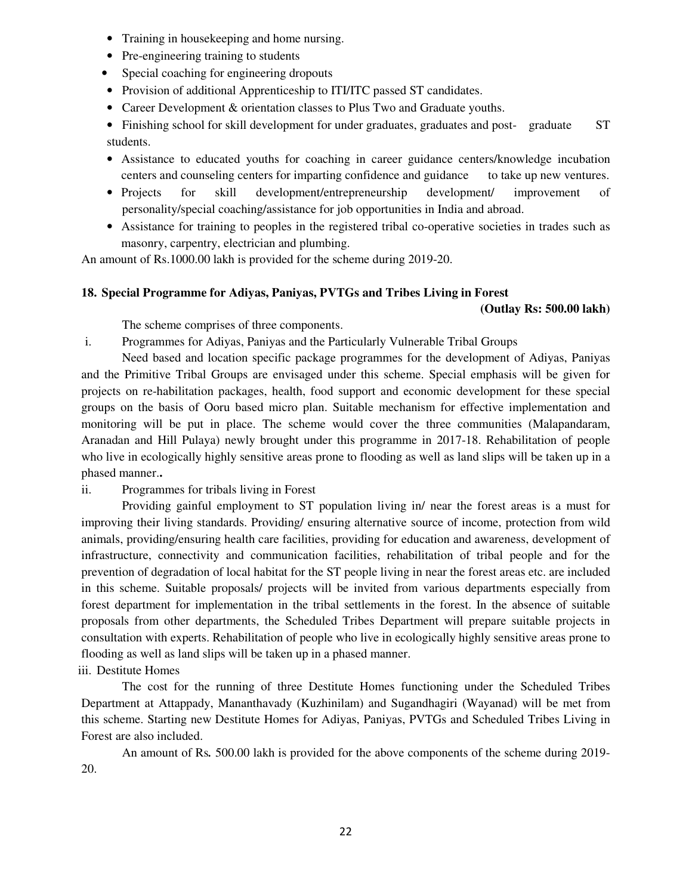- Training in house keeping and home nursing.
- Pre-engineering training to students
- Special coaching for engineering dropouts
- Provision of additional Apprenticeship to ITI/ITC passed ST candidates.
- Career Development & orientation classes to Plus Two and Graduate youths.
- Finishing school for skill development for under graduates, graduates and post- graduate ST students.
- Assistance to educated youths for coaching in career guidance centers/knowledge incubation centers and counseling centers for imparting confidence and guidance to take up new ventures.
- Projects for skill development/entrepreneurship development/ improvement of personality/special coaching/assistance for job opportunities in India and abroad.
- Assistance for training to peoples in the registered tribal co-operative societies in trades such as masonry, carpentry, electrician and plumbing.

An amount of Rs.1000.00 lakh is provided for the scheme during 2019-20.

# **18. Special Programme for Adiyas, Paniyas, PVTGs and Tribes Living in Forest**

## **(Outlay Rs: 500.00 lakh)**

The scheme comprises of three components.

i. Programmes for Adiyas, Paniyas and the Particularly Vulnerable Tribal Groups

 Need based and location specific package programmes for the development of Adiyas, Paniyas and the Primitive Tribal Groups are envisaged under this scheme. Special emphasis will be given for projects on re-habilitation packages, health, food support and economic development for these special groups on the basis of Ooru based micro plan. Suitable mechanism for effective implementation and monitoring will be put in place. The scheme would cover the three communities (Malapandaram, Aranadan and Hill Pulaya) newly brought under this programme in 2017-18. Rehabilitation of people who live in ecologically highly sensitive areas prone to flooding as well as land slips will be taken up in a phased manner.**.** 

ii. Programmes for tribals living in Forest

 Providing gainful employment to ST population living in/ near the forest areas is a must for improving their living standards. Providing/ ensuring alternative source of income, protection from wild animals, providing/ensuring health care facilities, providing for education and awareness, development of infrastructure, connectivity and communication facilities, rehabilitation of tribal people and for the prevention of degradation of local habitat for the ST people living in near the forest areas etc. are included in this scheme. Suitable proposals/ projects will be invited from various departments especially from forest department for implementation in the tribal settlements in the forest. In the absence of suitable proposals from other departments, the Scheduled Tribes Department will prepare suitable projects in consultation with experts. Rehabilitation of people who live in ecologically highly sensitive areas prone to flooding as well as land slips will be taken up in a phased manner.

# iii. Destitute Homes

 The cost for the running of three Destitute Homes functioning under the Scheduled Tribes Department at Attappady, Mananthavady (Kuzhinilam) and Sugandhagiri (Wayanad) will be met from this scheme. Starting new Destitute Homes for Adiyas, Paniyas, PVTGs and Scheduled Tribes Living in Forest are also included.

 An amount of Rs*.* 500.00 lakh is provided for the above components of the scheme during 2019- 20.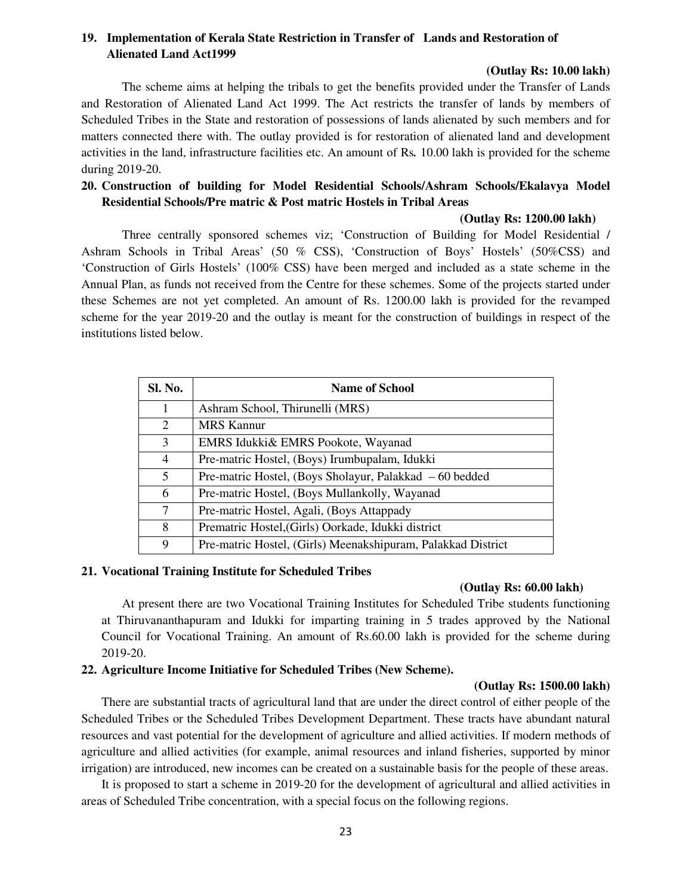# **19. Implementation of Kerala State Restriction in Transfer of Lands and Restoration of Alienated Land Act1999**

# **(Outlay Rs: 10.00 lakh)**

 The scheme aims at helping the tribals to get the benefits provided under the Transfer of Lands and Restoration of Alienated Land Act 1999. The Act restricts the transfer of lands by members of Scheduled Tribes in the State and restoration of possessions of lands alienated by such members and for matters connected there with. The outlay provided is for restoration of alienated land and development activities in the land, infrastructure facilities etc. An amount of Rs*.* 10.00 lakh is provided for the scheme during 2019-20.

# **20. Construction of building for Model Residential Schools/Ashram Schools/Ekalavya Model Residential Schools/Pre matric & Post matric Hostels in Tribal Areas**

#### **(Outlay Rs: 1200.00 lakh)**

Three centrally sponsored schemes viz; 'Construction of Building for Model Residential / Ashram Schools in Tribal Areas' (50 % CSS), 'Construction of Boys' Hostels' (50%CSS) and 'Construction of Girls Hostels' (100% CSS) have been merged and included as a state scheme in the Annual Plan, as funds not received from the Centre for these schemes. Some of the projects started under these Schemes are not yet completed. An amount of Rs. 1200.00 lakh is provided for the revamped scheme for the year 2019-20 and the outlay is meant for the construction of buildings in respect of the institutions listed below.

| Sl. No.        | <b>Name of School</b>                                        |
|----------------|--------------------------------------------------------------|
| 1              | Ashram School, Thirunelli (MRS)                              |
| 2              | <b>MRS Kannur</b>                                            |
| 3              | EMRS Idukki& EMRS Pookote, Wayanad                           |
| $\overline{4}$ | Pre-matric Hostel, (Boys) Irumbupalam, Idukki                |
| 5              | Pre-matric Hostel, (Boys Sholayur, Palakkad – 60 bedded      |
| 6              | Pre-matric Hostel, (Boys Mullankolly, Wayanad                |
| 7              | Pre-matric Hostel, Agali, (Boys Attappady                    |
| 8              | Prematric Hostel, (Girls) Oorkade, Idukki district           |
| 9              | Pre-matric Hostel, (Girls) Meenakshipuram, Palakkad District |

# **21. Vocational Training Institute for Scheduled Tribes**

# **(Outlay Rs: 60.00 lakh)**

At present there are two Vocational Training Institutes for Scheduled Tribe students functioning at Thiruvananthapuram and Idukki for imparting training in 5 trades approved by the National Council for Vocational Training. An amount of Rs.60.00 lakh is provided for the scheme during 2019-20.

# **22. Agriculture Income Initiative for Scheduled Tribes (New Scheme).**

#### **(Outlay Rs: 1500.00 lakh)**

There are substantial tracts of agricultural land that are under the direct control of either people of the Scheduled Tribes or the Scheduled Tribes Development Department. These tracts have abundant natural resources and vast potential for the development of agriculture and allied activities. If modern methods of agriculture and allied activities (for example, animal resources and inland fisheries, supported by minor irrigation) are introduced, new incomes can be created on a sustainable basis for the people of these areas.

It is proposed to start a scheme in 2019-20 for the development of agricultural and allied activities in areas of Scheduled Tribe concentration, with a special focus on the following regions.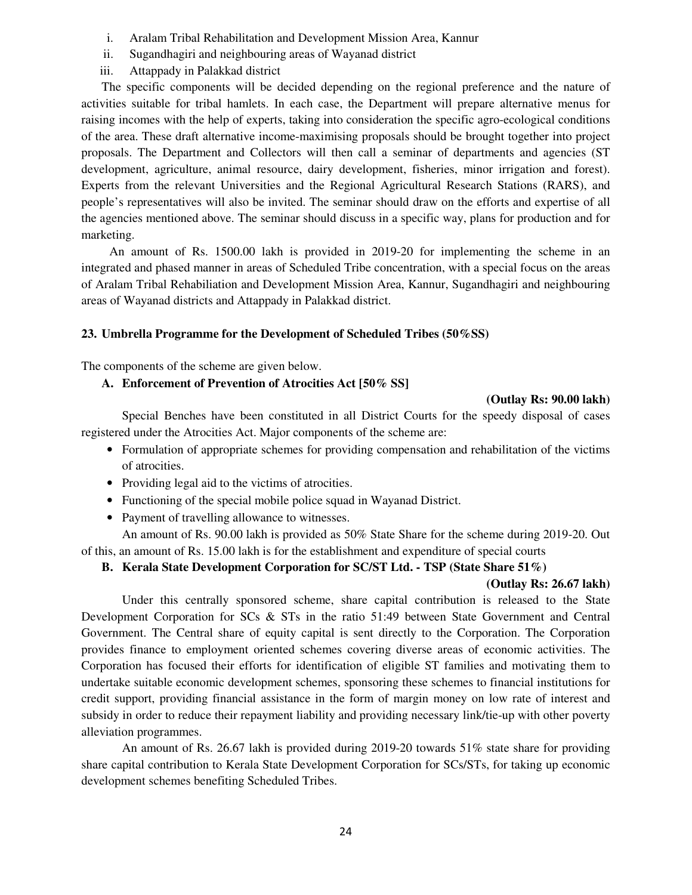- i. Aralam Tribal Rehabilitation and Development Mission Area, Kannur
- ii. Sugandhagiri and neighbouring areas of Wayanad district
- iii. Attappady in Palakkad district

The specific components will be decided depending on the regional preference and the nature of activities suitable for tribal hamlets. In each case, the Department will prepare alternative menus for raising incomes with the help of experts, taking into consideration the specific agro-ecological conditions of the area. These draft alternative income-maximising proposals should be brought together into project proposals. The Department and Collectors will then call a seminar of departments and agencies (ST development, agriculture, animal resource, dairy development, fisheries, minor irrigation and forest). Experts from the relevant Universities and the Regional Agricultural Research Stations (RARS), and people's representatives will also be invited. The seminar should draw on the efforts and expertise of all the agencies mentioned above. The seminar should discuss in a specific way, plans for production and for marketing.

 An amount of Rs. 1500.00 lakh is provided in 2019-20 for implementing the scheme in an integrated and phased manner in areas of Scheduled Tribe concentration, with a special focus on the areas of Aralam Tribal Rehabiliation and Development Mission Area, Kannur, Sugandhagiri and neighbouring areas of Wayanad districts and Attappady in Palakkad district.

# **23. Umbrella Programme for the Development of Scheduled Tribes (50%SS)**

The components of the scheme are given below.

# **A. Enforcement of Prevention of Atrocities Act [50% SS]**

## **(Outlay Rs: 90.00 lakh)**

 Special Benches have been constituted in all District Courts for the speedy disposal of cases registered under the Atrocities Act. Major components of the scheme are:

- Formulation of appropriate schemes for providing compensation and rehabilitation of the victims of atrocities.
- Providing legal aid to the victims of atrocities.
- Functioning of the special mobile police squad in Wayanad District.
- Payment of travelling allowance to witnesses.

 An amount of Rs. 90.00 lakh is provided as 50% State Share for the scheme during 2019-20. Out of this, an amount of Rs. 15.00 lakh is for the establishment and expenditure of special courts

# **B. Kerala State Development Corporation for SC/ST Ltd. - TSP (State Share 51%)**

# **(Outlay Rs: 26.67 lakh)**

 Under this centrally sponsored scheme, share capital contribution is released to the State Development Corporation for SCs & STs in the ratio 51:49 between State Government and Central Government. The Central share of equity capital is sent directly to the Corporation. The Corporation provides finance to employment oriented schemes covering diverse areas of economic activities. The Corporation has focused their efforts for identification of eligible ST families and motivating them to undertake suitable economic development schemes, sponsoring these schemes to financial institutions for credit support, providing financial assistance in the form of margin money on low rate of interest and subsidy in order to reduce their repayment liability and providing necessary link/tie-up with other poverty alleviation programmes.

 An amount of Rs. 26.67 lakh is provided during 2019-20 towards 51% state share for providing share capital contribution to Kerala State Development Corporation for SCs/STs, for taking up economic development schemes benefiting Scheduled Tribes.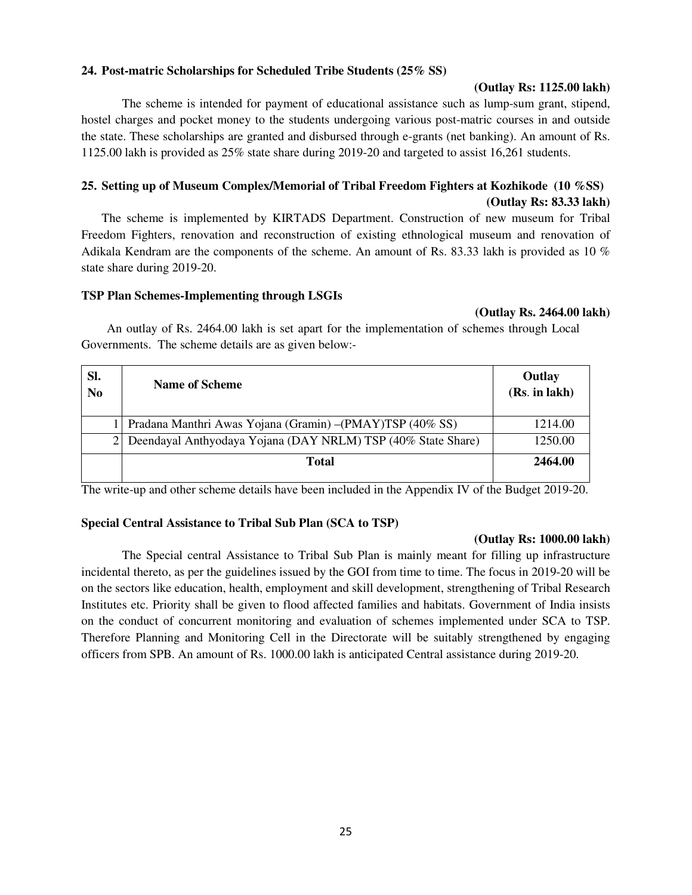# **24. Post-matric Scholarships for Scheduled Tribe Students (25% SS)**

## **(Outlay Rs: 1125.00 lakh)**

The scheme is intended for payment of educational assistance such as lump-sum grant, stipend, hostel charges and pocket money to the students undergoing various post-matric courses in and outside the state. These scholarships are granted and disbursed through e-grants (net banking). An amount of Rs. 1125.00 lakh is provided as 25% state share during 2019-20 and targeted to assist 16,261 students.

# **25. Setting up of Museum Complex/Memorial of Tribal Freedom Fighters at Kozhikode (10 %SS) (Outlay Rs: 83.33 lakh)**

The scheme is implemented by KIRTADS Department. Construction of new museum for Tribal Freedom Fighters, renovation and reconstruction of existing ethnological museum and renovation of Adikala Kendram are the components of the scheme. An amount of Rs. 83.33 lakh is provided as 10 % state share during 2019-20.

## **TSP Plan Schemes-Implementing through LSGIs**

#### **(Outlay Rs. 2464.00 lakh)**

An outlay of Rs. 2464.00 lakh is set apart for the implementation of schemes through Local Governments. The scheme details are as given below:-

| SI.<br>N <sub>0</sub> | <b>Name of Scheme</b>                                          | Outlay<br>(Rs. in lakh) |
|-----------------------|----------------------------------------------------------------|-------------------------|
|                       | Pradana Manthri Awas Yojana (Gramin) - (PMAY)TSP (40% SS)      | 1214.00                 |
|                       | 2 Deendayal Anthyodaya Yojana (DAY NRLM) TSP (40% State Share) | 1250.00                 |
|                       | Total                                                          | 2464.00                 |

The write-up and other scheme details have been included in the Appendix IV of the Budget 2019-20.

# **Special Central Assistance to Tribal Sub Plan (SCA to TSP)**

#### **(Outlay Rs: 1000.00 lakh)**

 The Special central Assistance to Tribal Sub Plan is mainly meant for filling up infrastructure incidental thereto, as per the guidelines issued by the GOI from time to time. The focus in 2019-20 will be on the sectors like education, health, employment and skill development, strengthening of Tribal Research Institutes etc. Priority shall be given to flood affected families and habitats. Government of India insists on the conduct of concurrent monitoring and evaluation of schemes implemented under SCA to TSP. Therefore Planning and Monitoring Cell in the Directorate will be suitably strengthened by engaging officers from SPB. An amount of Rs. 1000.00 lakh is anticipated Central assistance during 2019-20.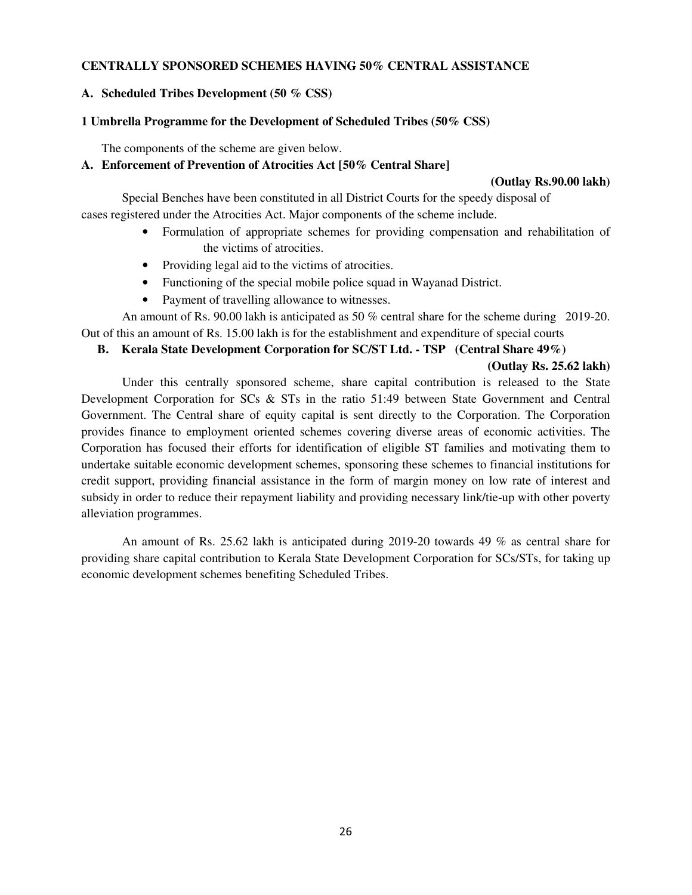# **CENTRALLY SPONSORED SCHEMES HAVING 50% CENTRAL ASSISTANCE**

# **A. Scheduled Tribes Development (50 % CSS)**

# **1 Umbrella Programme for the Development of Scheduled Tribes (50% CSS)**

The components of the scheme are given below.

# **A. Enforcement of Prevention of Atrocities Act [50% Central Share]**

#### **(Outlay Rs.90.00 lakh)**

Special Benches have been constituted in all District Courts for the speedy disposal of cases registered under the Atrocities Act. Major components of the scheme include.

- Formulation of appropriate schemes for providing compensation and rehabilitation of the victims of atrocities.
- Providing legal aid to the victims of atrocities.
- Functioning of the special mobile police squad in Wayanad District.
- Payment of travelling allowance to witnesses.

An amount of Rs. 90.00 lakh is anticipated as 50 % central share for the scheme during 2019-20. Out of this an amount of Rs. 15.00 lakh is for the establishment and expenditure of special courts

## **B. Kerala State Development Corporation for SC/ST Ltd. - TSP (Central Share 49%)**

# **(Outlay Rs. 25.62 lakh)**

 Under this centrally sponsored scheme, share capital contribution is released to the State Development Corporation for SCs & STs in the ratio 51:49 between State Government and Central Government. The Central share of equity capital is sent directly to the Corporation. The Corporation provides finance to employment oriented schemes covering diverse areas of economic activities. The Corporation has focused their efforts for identification of eligible ST families and motivating them to undertake suitable economic development schemes, sponsoring these schemes to financial institutions for credit support, providing financial assistance in the form of margin money on low rate of interest and subsidy in order to reduce their repayment liability and providing necessary link/tie-up with other poverty alleviation programmes.

 An amount of Rs. 25.62 lakh is anticipated during 2019-20 towards 49 % as central share for providing share capital contribution to Kerala State Development Corporation for SCs/STs, for taking up economic development schemes benefiting Scheduled Tribes.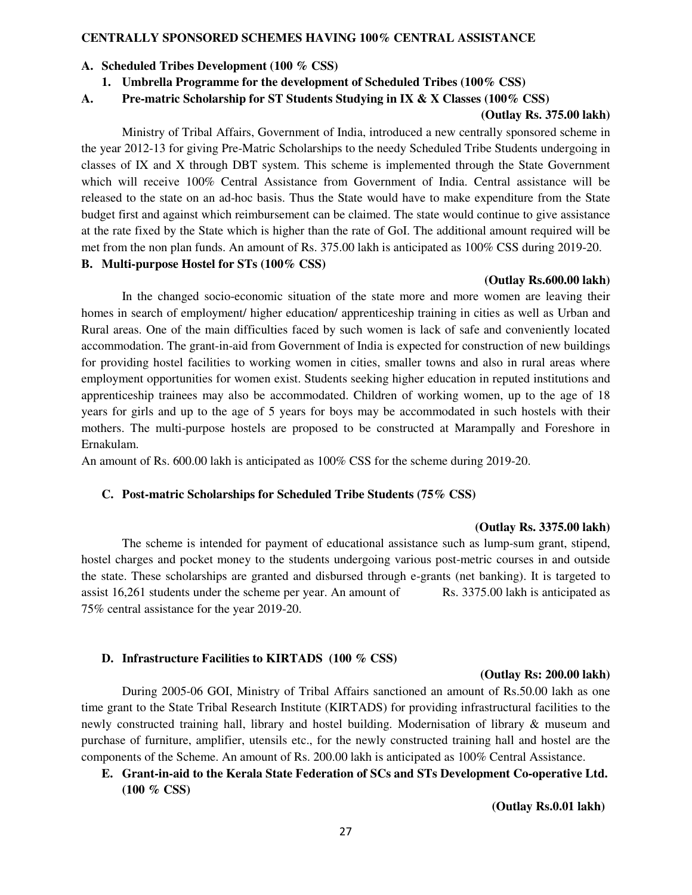#### **CENTRALLY SPONSORED SCHEMES HAVING 100% CENTRAL ASSISTANCE**

#### **A. Scheduled Tribes Development (100 % CSS)**

## **1. Umbrella Programme for the development of Scheduled Tribes (100% CSS)**

#### **A. Pre-matric Scholarship for ST Students Studying in IX & X Classes (100% CSS)**

#### **(Outlay Rs. 375.00 lakh)**

 Ministry of Tribal Affairs, Government of India, introduced a new centrally sponsored scheme in the year 2012-13 for giving Pre-Matric Scholarships to the needy Scheduled Tribe Students undergoing in classes of IX and X through DBT system. This scheme is implemented through the State Government which will receive 100% Central Assistance from Government of India. Central assistance will be released to the state on an ad-hoc basis. Thus the State would have to make expenditure from the State budget first and against which reimbursement can be claimed. The state would continue to give assistance at the rate fixed by the State which is higher than the rate of GoI. The additional amount required will be met from the non plan funds. An amount of Rs. 375.00 lakh is anticipated as 100% CSS during 2019-20. **B. Multi-purpose Hostel for STs (100% CSS)** 

#### **(Outlay Rs.600.00 lakh)**

In the changed socio-economic situation of the state more and more women are leaving their homes in search of employment/ higher education/ apprenticeship training in cities as well as Urban and Rural areas. One of the main difficulties faced by such women is lack of safe and conveniently located accommodation. The grant-in-aid from Government of India is expected for construction of new buildings for providing hostel facilities to working women in cities, smaller towns and also in rural areas where employment opportunities for women exist. Students seeking higher education in reputed institutions and apprenticeship trainees may also be accommodated. Children of working women, up to the age of 18 years for girls and up to the age of 5 years for boys may be accommodated in such hostels with their mothers. The multi-purpose hostels are proposed to be constructed at Marampally and Foreshore in Ernakulam.

An amount of Rs. 600.00 lakh is anticipated as 100% CSS for the scheme during 2019-20.

## **C. Post-matric Scholarships for Scheduled Tribe Students (75% CSS)**

#### **(Outlay Rs. 3375.00 lakh)**

The scheme is intended for payment of educational assistance such as lump-sum grant, stipend, hostel charges and pocket money to the students undergoing various post-metric courses in and outside the state. These scholarships are granted and disbursed through e-grants (net banking). It is targeted to assist 16,261 students under the scheme per year. An amount of Rs. 3375.00 lakh is anticipated as 75% central assistance for the year 2019-20.

# **D. Infrastructure Facilities to KIRTADS (100 % CSS)**

#### **(Outlay Rs: 200.00 lakh)**

 During 2005-06 GOI, Ministry of Tribal Affairs sanctioned an amount of Rs.50.00 lakh as one time grant to the State Tribal Research Institute (KIRTADS) for providing infrastructural facilities to the newly constructed training hall, library and hostel building. Modernisation of library & museum and purchase of furniture, amplifier, utensils etc., for the newly constructed training hall and hostel are the components of the Scheme. An amount of Rs. 200.00 lakh is anticipated as 100% Central Assistance.

# **E. Grant-in-aid to the Kerala State Federation of SCs and STs Development Co-operative Ltd. (100 % CSS)**

 **(Outlay Rs.0.01 lakh)**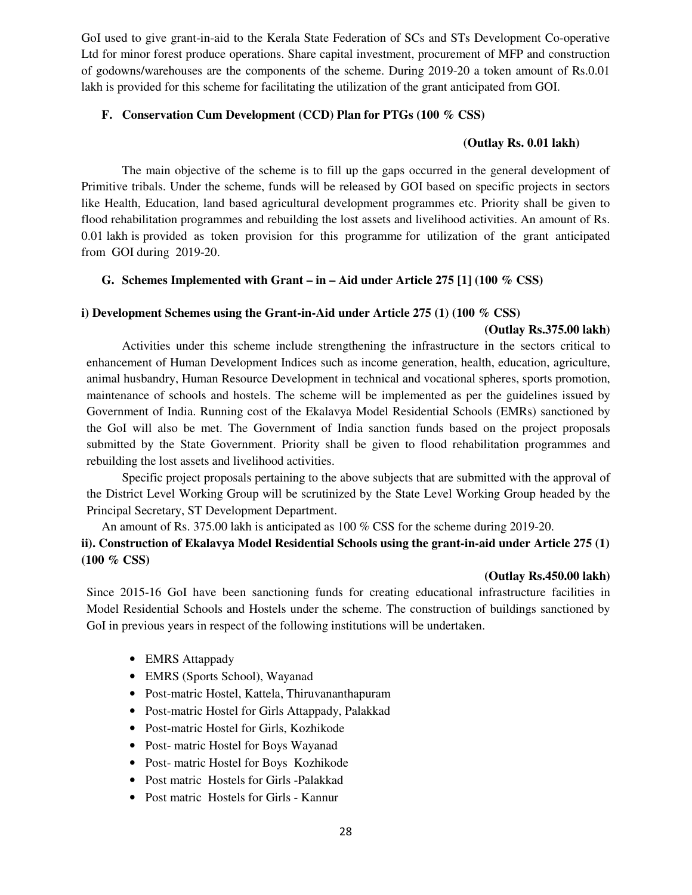GoI used to give grant-in-aid to the Kerala State Federation of SCs and STs Development Co-operative Ltd for minor forest produce operations. Share capital investment, procurement of MFP and construction of godowns/warehouses are the components of the scheme. During 2019-20 a token amount of Rs.0.01 lakh is provided for this scheme for facilitating the utilization of the grant anticipated from GOI.

# **F. Conservation Cum Development (CCD) Plan for PTGs (100 % CSS)**

#### **(Outlay Rs. 0.01 lakh)**

 The main objective of the scheme is to fill up the gaps occurred in the general development of Primitive tribals. Under the scheme, funds will be released by GOI based on specific projects in sectors like Health, Education, land based agricultural development programmes etc. Priority shall be given to flood rehabilitation programmes and rebuilding the lost assets and livelihood activities. An amount of Rs. 0.01 lakh is provided as token provision for this programme for utilization of the grant anticipated from GOI during 2019-20.

# **G. Schemes Implemented with Grant – in – Aid under Article 275 [1] (100 % CSS)**

## **i) Development Schemes using the Grant-in-Aid under Article 275 (1) (100 % CSS)**

#### **(Outlay Rs.375.00 lakh)**

 Activities under this scheme include strengthening the infrastructure in the sectors critical to enhancement of Human Development Indices such as income generation, health, education, agriculture, animal husbandry, Human Resource Development in technical and vocational spheres, sports promotion, maintenance of schools and hostels. The scheme will be implemented as per the guidelines issued by Government of India. Running cost of the Ekalavya Model Residential Schools (EMRs) sanctioned by the GoI will also be met. The Government of India sanction funds based on the project proposals submitted by the State Government. Priority shall be given to flood rehabilitation programmes and rebuilding the lost assets and livelihood activities.

 Specific project proposals pertaining to the above subjects that are submitted with the approval of the District Level Working Group will be scrutinized by the State Level Working Group headed by the Principal Secretary, ST Development Department.

An amount of Rs. 375.00 lakh is anticipated as 100 % CSS for the scheme during 2019-20. **ii). Construction of Ekalavya Model Residential Schools using the grant-in-aid under Article 275 (1) (100 % CSS)** 

#### **(Outlay Rs.450.00 lakh)**

Since 2015-16 GoI have been sanctioning funds for creating educational infrastructure facilities in Model Residential Schools and Hostels under the scheme. The construction of buildings sanctioned by GoI in previous years in respect of the following institutions will be undertaken.

- EMRS Attappady
- EMRS (Sports School), Wayanad
- Post-matric Hostel, Kattela, Thiruvananthapuram
- Post-matric Hostel for Girls Attappady, Palakkad
- Post-matric Hostel for Girls, Kozhikode
- Post- matric Hostel for Boys Wayanad
- Post- matric Hostel for Boys Kozhikode
- Post matric Hostels for Girls -Palakkad
- Post matric Hostels for Girls Kannur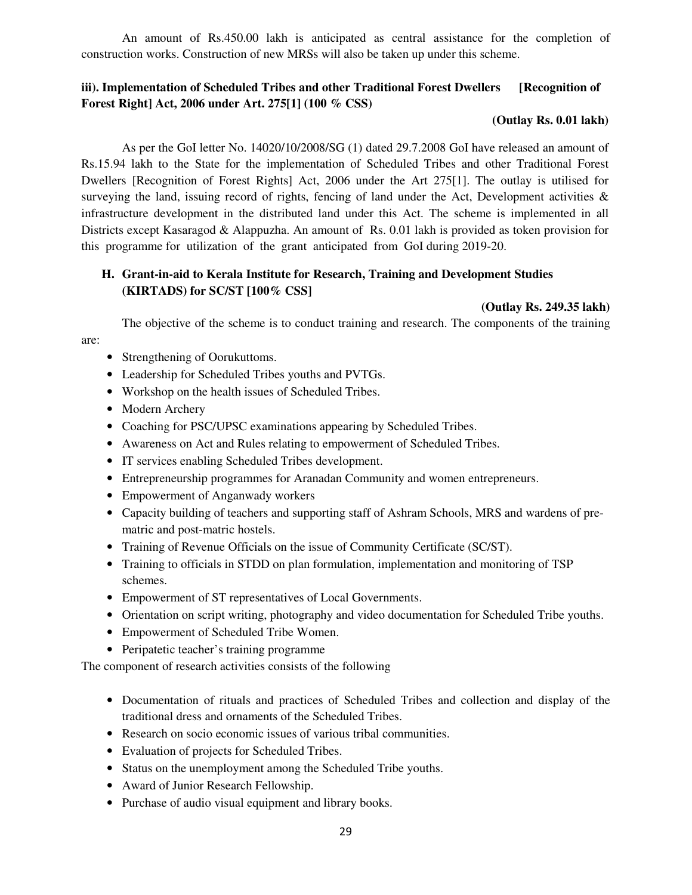An amount of Rs.450.00 lakh is anticipated as central assistance for the completion of construction works. Construction of new MRSs will also be taken up under this scheme.

# **iii). Implementation of Scheduled Tribes and other Traditional Forest Dwellers [Recognition of Forest Right] Act, 2006 under Art. 275[1] (100 % CSS)**

# **(Outlay Rs. 0.01 lakh)**

 As per the GoI letter No. 14020/10/2008/SG (1) dated 29.7.2008 GoI have released an amount of Rs.15.94 lakh to the State for the implementation of Scheduled Tribes and other Traditional Forest Dwellers [Recognition of Forest Rights] Act, 2006 under the Art 275[1]. The outlay is utilised for surveying the land, issuing record of rights, fencing of land under the Act, Development activities & infrastructure development in the distributed land under this Act. The scheme is implemented in all Districts except Kasaragod & Alappuzha. An amount of Rs. 0.01 lakh is provided as token provision for this programme for utilization of the grant anticipated from GoI during 2019-20.

# **H. Grant-in-aid to Kerala Institute for Research, Training and Development Studies (KIRTADS) for SC/ST [100% CSS]**

# **(Outlay Rs. 249.35 lakh)**

The objective of the scheme is to conduct training and research. The components of the training

are:

- Strengthening of Oorukuttoms.
- Leadership for Scheduled Tribes youths and PVTGs.
- Workshop on the health issues of Scheduled Tribes.
- Modern Archery
- Coaching for PSC/UPSC examinations appearing by Scheduled Tribes.
- Awareness on Act and Rules relating to empowerment of Scheduled Tribes.
- IT services enabling Scheduled Tribes development.
- Entrepreneurship programmes for Aranadan Community and women entrepreneurs.
- Empowerment of Anganwady workers
- Capacity building of teachers and supporting staff of Ashram Schools, MRS and wardens of prematric and post-matric hostels.
- Training of Revenue Officials on the issue of Community Certificate (SC/ST).
- Training to officials in STDD on plan formulation, implementation and monitoring of TSP schemes.
- Empowerment of ST representatives of Local Governments.
- Orientation on script writing, photography and video documentation for Scheduled Tribe youths.
- Empowerment of Scheduled Tribe Women.
- Peripatetic teacher's training programme

The component of research activities consists of the following

- Documentation of rituals and practices of Scheduled Tribes and collection and display of the traditional dress and ornaments of the Scheduled Tribes.
- Research on socio economic issues of various tribal communities.
- Evaluation of projects for Scheduled Tribes.
- Status on the unemployment among the Scheduled Tribe youths.
- Award of Junior Research Fellowship.
- Purchase of audio visual equipment and library books.